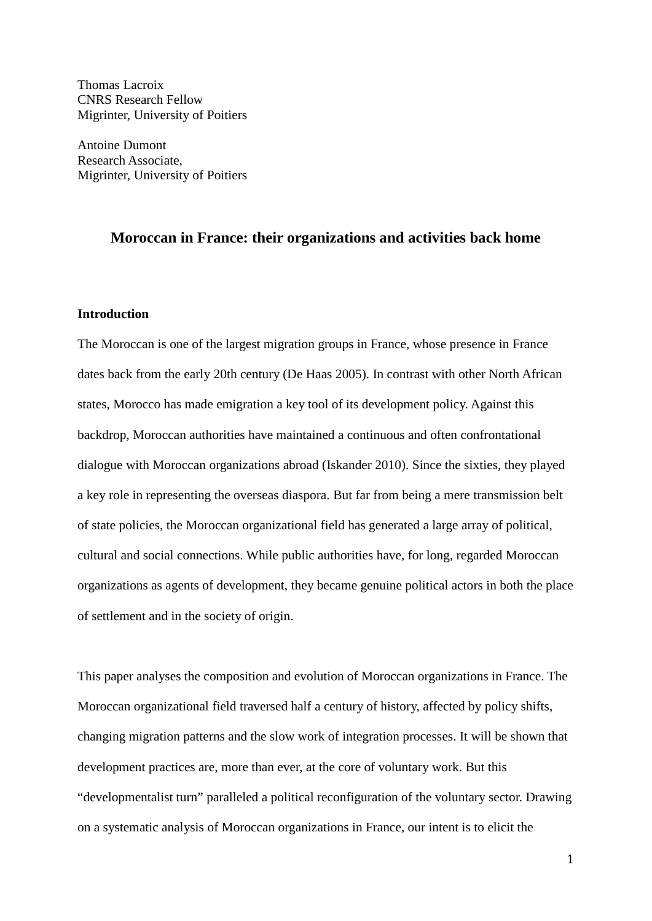Thomas Lacroix CNRS Research Fellow Migrinter, University of Poitiers

Antoine Dumont Research Associate, Migrinter, University of Poitiers

# **Moroccan in France: their organizations and activities back home**

# **Introduction**

The Moroccan is one of the largest migration groups in France, whose presence in France dates back from the early 20th century (De Haas 2005). In contrast with other North African states, Morocco has made emigration a key tool of its development policy. Against this backdrop, Moroccan authorities have maintained a continuous and often confrontational dialogue with Moroccan organizations abroad (Iskander 2010). Since the sixties, they played a key role in representing the overseas diaspora. But far from being a mere transmission belt of state policies, the Moroccan organizational field has generated a large array of political, cultural and social connections. While public authorities have, for long, regarded Moroccan organizations as agents of development, they became genuine political actors in both the place of settlement and in the society of origin.

This paper analyses the composition and evolution of Moroccan organizations in France. The Moroccan organizational field traversed half a century of history, affected by policy shifts, changing migration patterns and the slow work of integration processes. It will be shown that development practices are, more than ever, at the core of voluntary work. But this "developmentalist turn" paralleled a political reconfiguration of the voluntary sector. Drawing on a systematic analysis of Moroccan organizations in France, our intent is to elicit the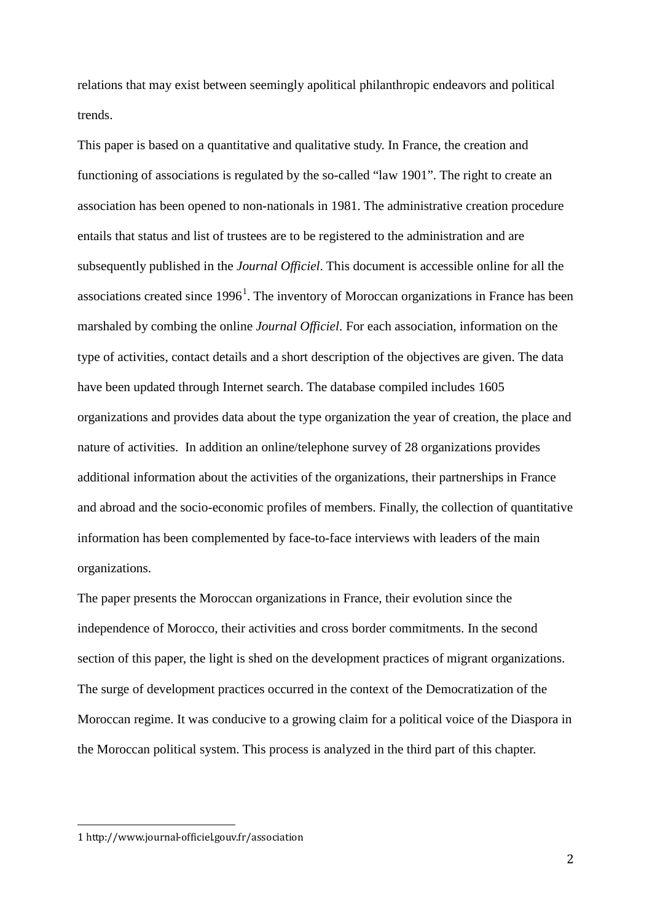relations that may exist between seemingly apolitical philanthropic endeavors and political trends.

This paper is based on a quantitative and qualitative study. In France, the creation and functioning of associations is regulated by the so-called "law 1901". The right to create an association has been opened to non-nationals in 1981. The administrative creation procedure entails that status and list of trustees are to be registered to the administration and are subsequently published in the *Journal Officiel*. This document is accessible online for all the associations created since  $1996<sup>1</sup>$  $1996<sup>1</sup>$ . The inventory of Moroccan organizations in France has been marshaled by combing the online *Journal Officiel*. For each association, information on the type of activities, contact details and a short description of the objectives are given. The data have been updated through Internet search. The database compiled includes 1605 organizations and provides data about the type organization the year of creation, the place and nature of activities. In addition an online/telephone survey of 28 organizations provides additional information about the activities of the organizations, their partnerships in France and abroad and the socio-economic profiles of members. Finally, the collection of quantitative information has been complemented by face-to-face interviews with leaders of the main organizations.

The paper presents the Moroccan organizations in France, their evolution since the independence of Morocco, their activities and cross border commitments. In the second section of this paper, the light is shed on the development practices of migrant organizations. The surge of development practices occurred in the context of the Democratization of the Moroccan regime. It was conducive to a growing claim for a political voice of the Diaspora in the Moroccan political system. This process is analyzed in the third part of this chapter.

<span id="page-1-0"></span>I 1 http://www.journal-officiel.gouv.fr/association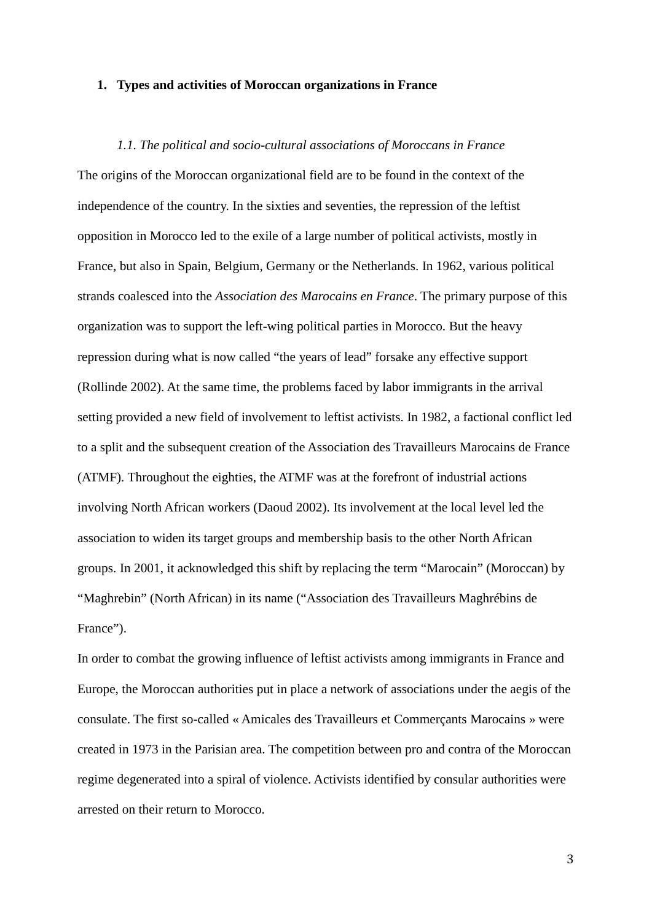#### **1. Types and activities of Moroccan organizations in France**

*1.1. The political and socio-cultural associations of Moroccans in France* The origins of the Moroccan organizational field are to be found in the context of the independence of the country. In the sixties and seventies, the repression of the leftist opposition in Morocco led to the exile of a large number of political activists, mostly in France, but also in Spain, Belgium, Germany or the Netherlands. In 1962, various political strands coalesced into the *Association des Marocains en France*. The primary purpose of this organization was to support the left-wing political parties in Morocco. But the heavy repression during what is now called "the years of lead" forsake any effective support (Rollinde 2002). At the same time, the problems faced by labor immigrants in the arrival setting provided a new field of involvement to leftist activists. In 1982, a factional conflict led to a split and the subsequent creation of the Association des Travailleurs Marocains de France (ATMF). Throughout the eighties, the ATMF was at the forefront of industrial actions involving North African workers (Daoud 2002). Its involvement at the local level led the association to widen its target groups and membership basis to the other North African groups. In 2001, it acknowledged this shift by replacing the term "Marocain" (Moroccan) by "Maghrebin" (North African) in its name ("Association des Travailleurs Maghrébins de France").

In order to combat the growing influence of leftist activists among immigrants in France and Europe, the Moroccan authorities put in place a network of associations under the aegis of the consulate. The first so-called « Amicales des Travailleurs et Commerçants Marocains » were created in 1973 in the Parisian area. The competition between pro and contra of the Moroccan regime degenerated into a spiral of violence. Activists identified by consular authorities were arrested on their return to Morocco.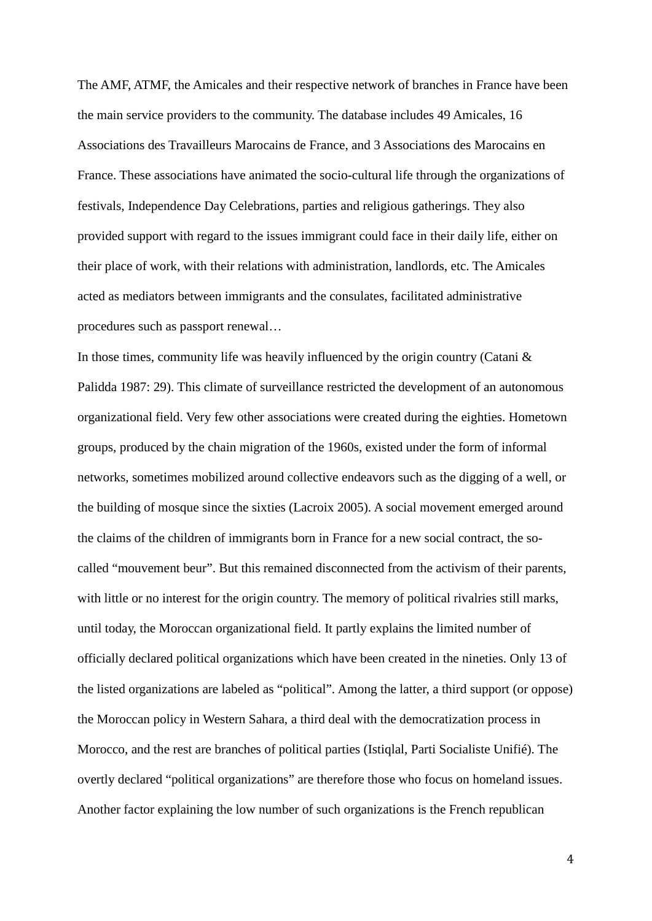The AMF, ATMF, the Amicales and their respective network of branches in France have been the main service providers to the community. The database includes 49 Amicales, 16 Associations des Travailleurs Marocains de France, and 3 Associations des Marocains en France. These associations have animated the socio-cultural life through the organizations of festivals, Independence Day Celebrations, parties and religious gatherings. They also provided support with regard to the issues immigrant could face in their daily life, either on their place of work, with their relations with administration, landlords, etc. The Amicales acted as mediators between immigrants and the consulates, facilitated administrative procedures such as passport renewal…

In those times, community life was heavily influenced by the origin country (Catani  $\&$ Palidda 1987: 29). This climate of surveillance restricted the development of an autonomous organizational field. Very few other associations were created during the eighties. Hometown groups, produced by the chain migration of the 1960s, existed under the form of informal networks, sometimes mobilized around collective endeavors such as the digging of a well, or the building of mosque since the sixties (Lacroix 2005). A social movement emerged around the claims of the children of immigrants born in France for a new social contract, the socalled "mouvement beur". But this remained disconnected from the activism of their parents, with little or no interest for the origin country. The memory of political rivalries still marks, until today, the Moroccan organizational field. It partly explains the limited number of officially declared political organizations which have been created in the nineties. Only 13 of the listed organizations are labeled as "political". Among the latter, a third support (or oppose) the Moroccan policy in Western Sahara, a third deal with the democratization process in Morocco, and the rest are branches of political parties (Istiqlal, Parti Socialiste Unifié). The overtly declared "political organizations" are therefore those who focus on homeland issues. Another factor explaining the low number of such organizations is the French republican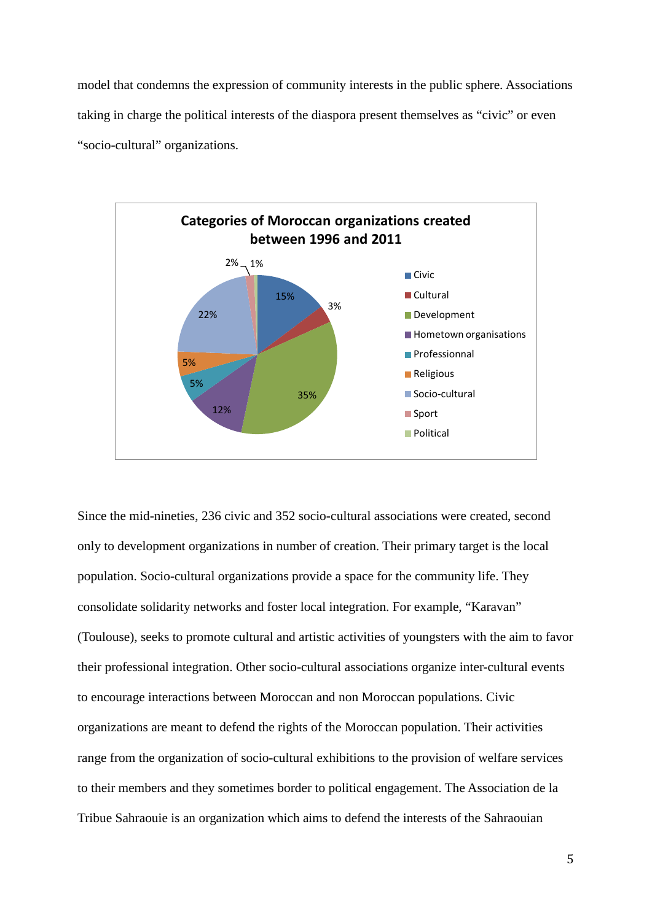model that condemns the expression of community interests in the public sphere. Associations taking in charge the political interests of the diaspora present themselves as "civic" or even "socio-cultural" organizations.



Since the mid-nineties, 236 civic and 352 socio-cultural associations were created, second only to development organizations in number of creation. Their primary target is the local population. Socio-cultural organizations provide a space for the community life. They consolidate solidarity networks and foster local integration. For example, "Karavan" (Toulouse), seeks to promote cultural and artistic activities of youngsters with the aim to favor their professional integration. Other socio-cultural associations organize inter-cultural events to encourage interactions between Moroccan and non Moroccan populations. Civic organizations are meant to defend the rights of the Moroccan population. Their activities range from the organization of socio-cultural exhibitions to the provision of welfare services to their members and they sometimes border to political engagement. The Association de la Tribue Sahraouie is an organization which aims to defend the interests of the Sahraouian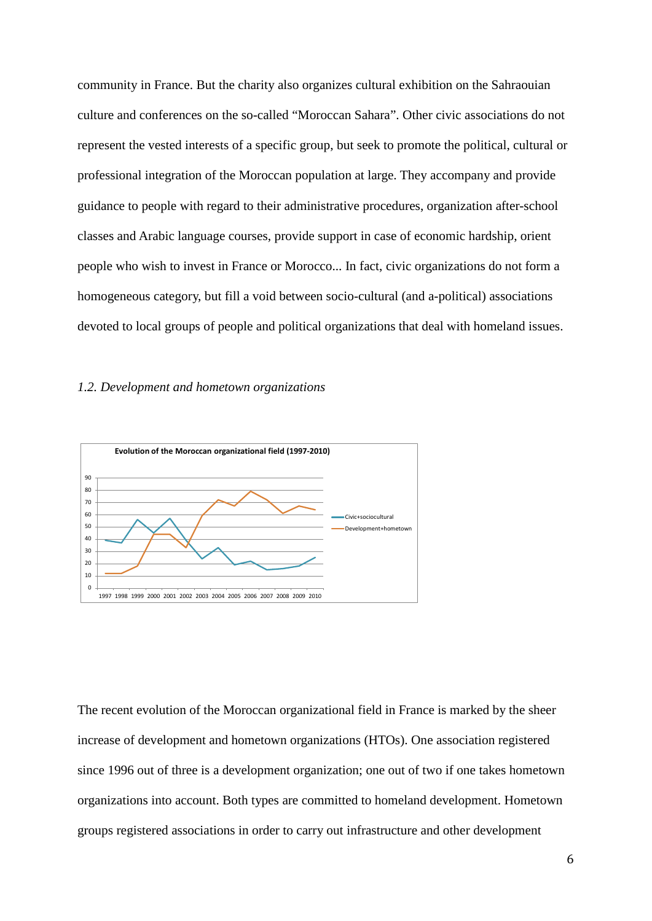community in France. But the charity also organizes cultural exhibition on the Sahraouian culture and conferences on the so-called "Moroccan Sahara". Other civic associations do not represent the vested interests of a specific group, but seek to promote the political, cultural or professional integration of the Moroccan population at large. They accompany and provide guidance to people with regard to their administrative procedures, organization after-school classes and Arabic language courses, provide support in case of economic hardship, orient people who wish to invest in France or Morocco... In fact, civic organizations do not form a homogeneous category, but fill a void between socio-cultural (and a-political) associations devoted to local groups of people and political organizations that deal with homeland issues.

#### *1.2. Development and hometown organizations*



The recent evolution of the Moroccan organizational field in France is marked by the sheer increase of development and hometown organizations (HTOs). One association registered since 1996 out of three is a development organization; one out of two if one takes hometown organizations into account. Both types are committed to homeland development. Hometown groups registered associations in order to carry out infrastructure and other development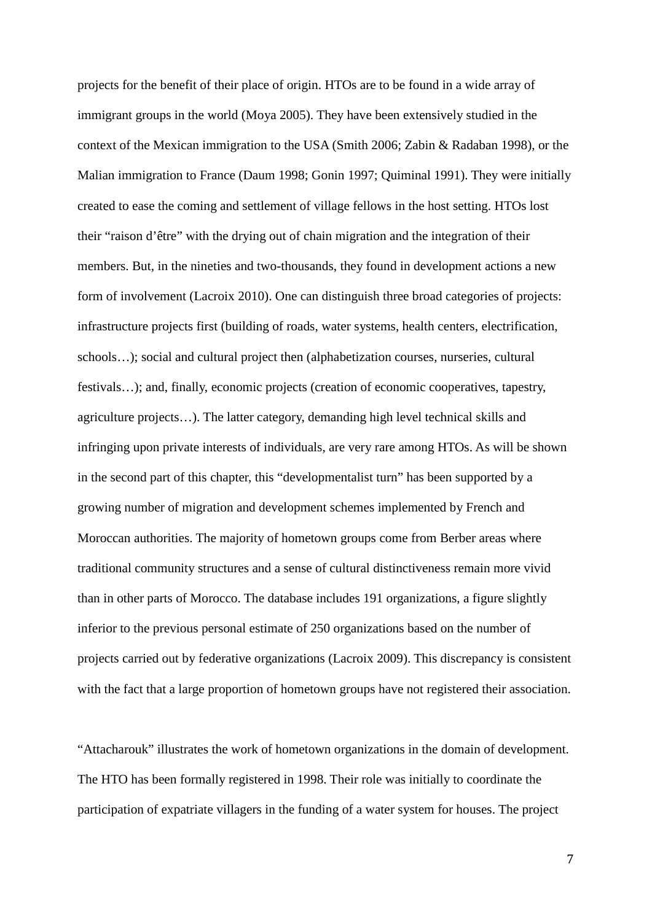projects for the benefit of their place of origin. HTOs are to be found in a wide array of immigrant groups in the world (Moya 2005). They have been extensively studied in the context of the Mexican immigration to the USA (Smith 2006; Zabin & Radaban 1998), or the Malian immigration to France (Daum 1998; Gonin 1997; Quiminal 1991). They were initially created to ease the coming and settlement of village fellows in the host setting. HTOs lost their "raison d'être" with the drying out of chain migration and the integration of their members. But, in the nineties and two-thousands, they found in development actions a new form of involvement (Lacroix 2010). One can distinguish three broad categories of projects: infrastructure projects first (building of roads, water systems, health centers, electrification, schools…); social and cultural project then (alphabetization courses, nurseries, cultural festivals…); and, finally, economic projects (creation of economic cooperatives, tapestry, agriculture projects…). The latter category, demanding high level technical skills and infringing upon private interests of individuals, are very rare among HTOs. As will be shown in the second part of this chapter, this "developmentalist turn" has been supported by a growing number of migration and development schemes implemented by French and Moroccan authorities. The majority of hometown groups come from Berber areas where traditional community structures and a sense of cultural distinctiveness remain more vivid than in other parts of Morocco. The database includes 191 organizations, a figure slightly inferior to the previous personal estimate of 250 organizations based on the number of projects carried out by federative organizations (Lacroix 2009). This discrepancy is consistent with the fact that a large proportion of hometown groups have not registered their association.

"Attacharouk" illustrates the work of hometown organizations in the domain of development. The HTO has been formally registered in 1998. Their role was initially to coordinate the participation of expatriate villagers in the funding of a water system for houses. The project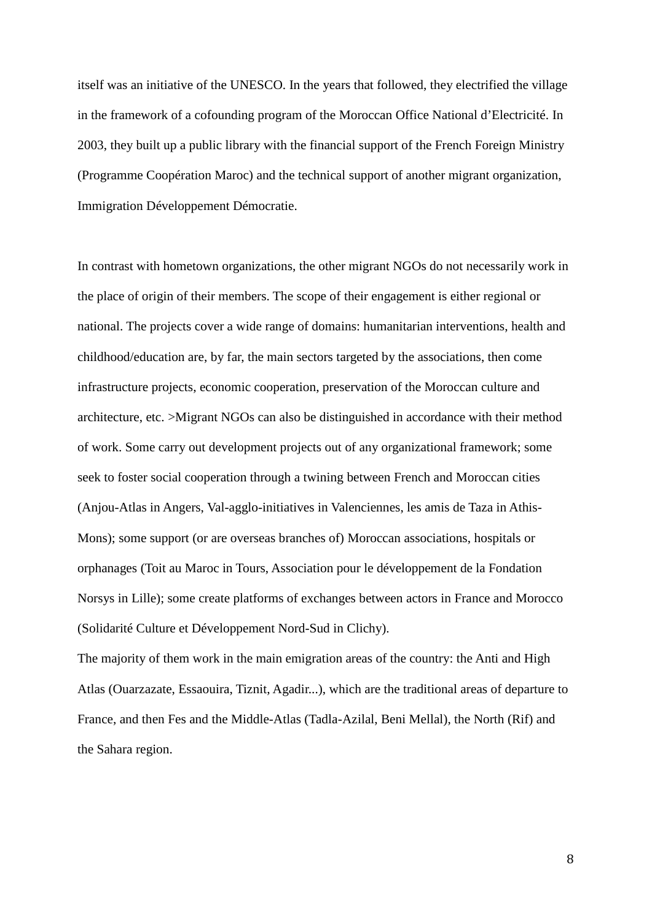itself was an initiative of the UNESCO. In the years that followed, they electrified the village in the framework of a cofounding program of the Moroccan Office National d'Electricité. In 2003, they built up a public library with the financial support of the French Foreign Ministry (Programme Coopération Maroc) and the technical support of another migrant organization, Immigration Développement Démocratie.

In contrast with hometown organizations, the other migrant NGOs do not necessarily work in the place of origin of their members. The scope of their engagement is either regional or national. The projects cover a wide range of domains: humanitarian interventions, health and childhood/education are, by far, the main sectors targeted by the associations, then come infrastructure projects, economic cooperation, preservation of the Moroccan culture and architecture, etc. >Migrant NGOs can also be distinguished in accordance with their method of work. Some carry out development projects out of any organizational framework; some seek to foster social cooperation through a twining between French and Moroccan cities (Anjou-Atlas in Angers, Val-agglo-initiatives in Valenciennes, les amis de Taza in Athis-Mons); some support (or are overseas branches of) Moroccan associations, hospitals or orphanages (Toit au Maroc in Tours, Association pour le développement de la Fondation Norsys in Lille); some create platforms of exchanges between actors in France and Morocco (Solidarité Culture et Développement Nord-Sud in Clichy).

The majority of them work in the main emigration areas of the country: the Anti and High Atlas (Ouarzazate, Essaouira, Tiznit, Agadir...), which are the traditional areas of departure to France, and then Fes and the Middle-Atlas (Tadla-Azilal, Beni Mellal), the North (Rif) and the Sahara region.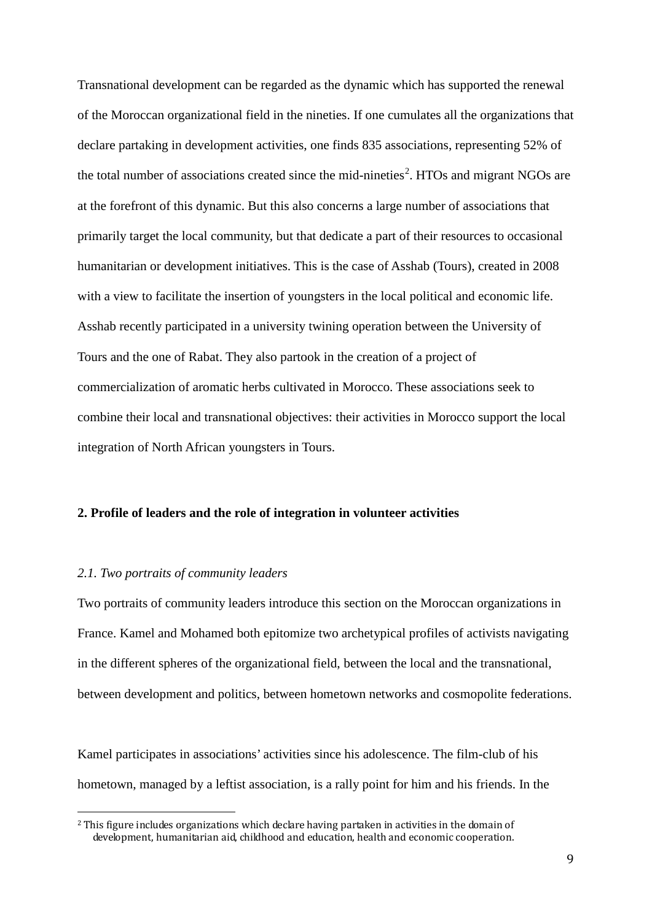Transnational development can be regarded as the dynamic which has supported the renewal of the Moroccan organizational field in the nineties. If one cumulates all the organizations that declare partaking in development activities, one finds 835 associations, representing 52% of the total number of associations created since the mid-nineties<sup>[2](#page-8-0)</sup>. HTOs and migrant NGOs are at the forefront of this dynamic. But this also concerns a large number of associations that primarily target the local community, but that dedicate a part of their resources to occasional humanitarian or development initiatives. This is the case of Asshab (Tours), created in 2008 with a view to facilitate the insertion of youngsters in the local political and economic life. Asshab recently participated in a university twining operation between the University of Tours and the one of Rabat. They also partook in the creation of a project of commercialization of aromatic herbs cultivated in Morocco. These associations seek to combine their local and transnational objectives: their activities in Morocco support the local integration of North African youngsters in Tours.

# **2. Profile of leaders and the role of integration in volunteer activities**

### *2.1. Two portraits of community leaders*

Two portraits of community leaders introduce this section on the Moroccan organizations in France. Kamel and Mohamed both epitomize two archetypical profiles of activists navigating in the different spheres of the organizational field, between the local and the transnational, between development and politics, between hometown networks and cosmopolite federations.

Kamel participates in associations' activities since his adolescence. The film-club of his hometown, managed by a leftist association, is a rally point for him and his friends. In the

<span id="page-8-0"></span><sup>&</sup>lt;sup>2</sup> This figure includes organizations which declare having partaken in activities in the domain of development, humanitarian aid, childhood and education, health and economic cooperation.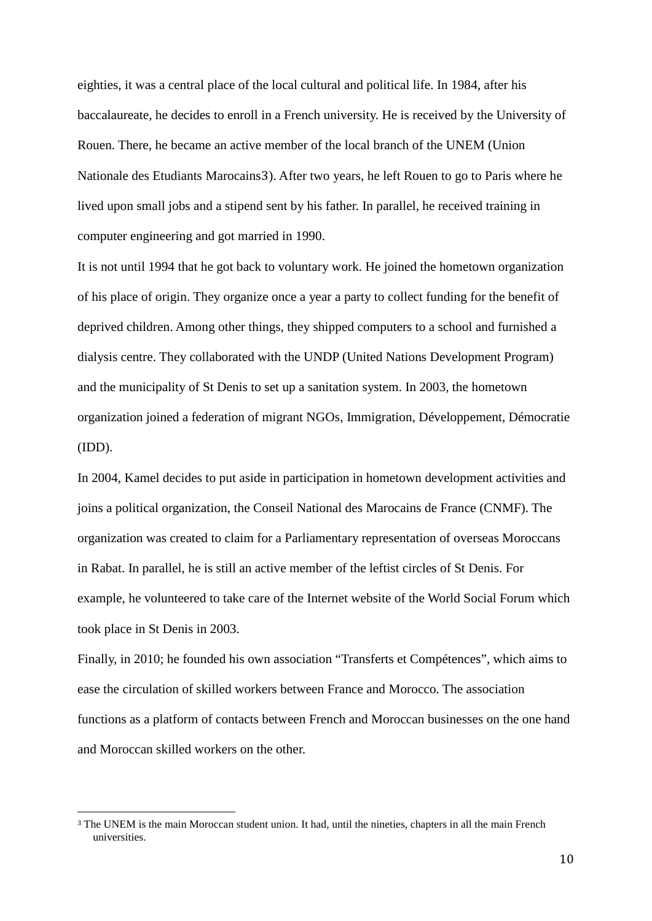eighties, it was a central place of the local cultural and political life. In 1984, after his baccalaureate, he decides to enroll in a French university. He is received by the University of Rouen. There, he became an active [m](#page-9-0)ember of the local branch of the UNEM (Union Nationale des Etudiants Marocains3). After two years, he left Rouen to go to Paris where he lived upon small jobs and a stipend sent by his father. In parallel, he received training in computer engineering and got married in 1990.

It is not until 1994 that he got back to voluntary work. He joined the hometown organization of his place of origin. They organize once a year a party to collect funding for the benefit of deprived children. Among other things, they shipped computers to a school and furnished a dialysis centre. They collaborated with the UNDP (United Nations Development Program) and the municipality of St Denis to set up a sanitation system. In 2003, the hometown organization joined a federation of migrant NGOs, Immigration, Développement, Démocratie (IDD).

In 2004, Kamel decides to put aside in participation in hometown development activities and joins a political organization, the Conseil National des Marocains de France (CNMF). The organization was created to claim for a Parliamentary representation of overseas Moroccans in Rabat. In parallel, he is still an active member of the leftist circles of St Denis. For example, he volunteered to take care of the Internet website of the World Social Forum which took place in St Denis in 2003.

Finally, in 2010; he founded his own association "Transferts et Compétences", which aims to ease the circulation of skilled workers between France and Morocco. The association functions as a platform of contacts between French and Moroccan businesses on the one hand and Moroccan skilled workers on the other.

<span id="page-9-0"></span><sup>&</sup>lt;sup>3</sup> The UNEM is the main Moroccan student union. It had, until the nineties, chapters in all the main French universities.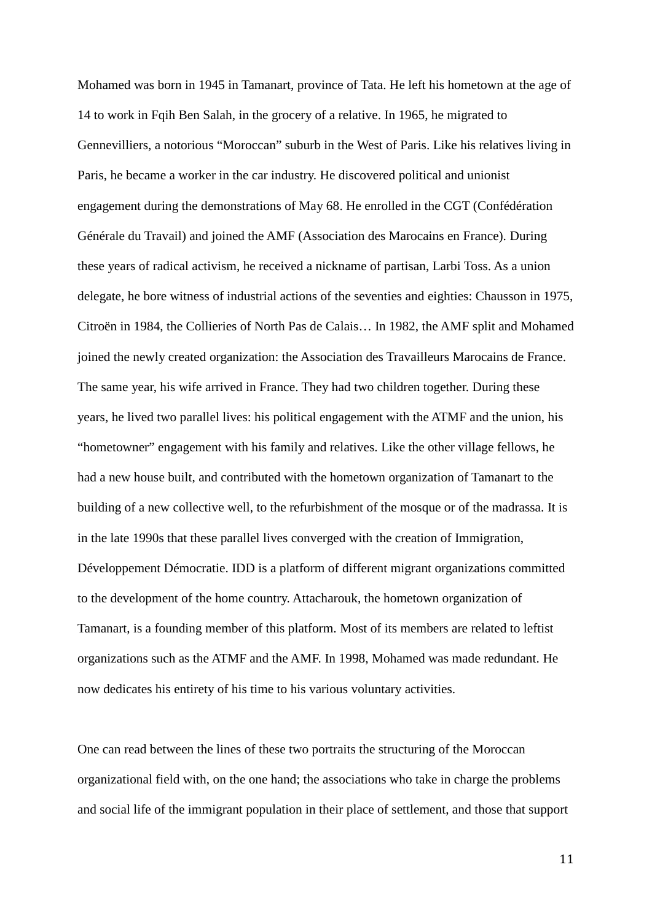Mohamed was born in 1945 in Tamanart, province of Tata. He left his hometown at the age of 14 to work in Fqih Ben Salah, in the grocery of a relative. In 1965, he migrated to Gennevilliers, a notorious "Moroccan" suburb in the West of Paris. Like his relatives living in Paris, he became a worker in the car industry. He discovered political and unionist engagement during the demonstrations of May 68. He enrolled in the CGT (Confédération Générale du Travail) and joined the AMF (Association des Marocains en France). During these years of radical activism, he received a nickname of partisan, Larbi Toss. As a union delegate, he bore witness of industrial actions of the seventies and eighties: Chausson in 1975, Citroën in 1984, the Collieries of North Pas de Calais… In 1982, the AMF split and Mohamed joined the newly created organization: the Association des Travailleurs Marocains de France. The same year, his wife arrived in France. They had two children together. During these years, he lived two parallel lives: his political engagement with the ATMF and the union, his "hometowner" engagement with his family and relatives. Like the other village fellows, he had a new house built, and contributed with the hometown organization of Tamanart to the building of a new collective well, to the refurbishment of the mosque or of the madrassa. It is in the late 1990s that these parallel lives converged with the creation of Immigration, Développement Démocratie. IDD is a platform of different migrant organizations committed to the development of the home country. Attacharouk, the hometown organization of Tamanart, is a founding member of this platform. Most of its members are related to leftist organizations such as the ATMF and the AMF. In 1998, Mohamed was made redundant. He now dedicates his entirety of his time to his various voluntary activities.

One can read between the lines of these two portraits the structuring of the Moroccan organizational field with, on the one hand; the associations who take in charge the problems and social life of the immigrant population in their place of settlement, and those that support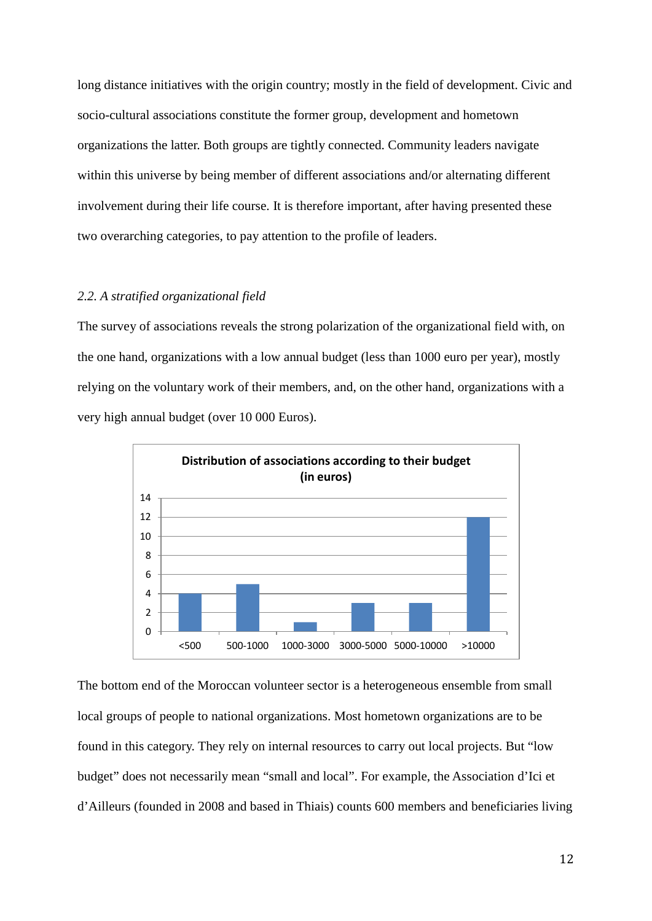long distance initiatives with the origin country; mostly in the field of development. Civic and socio-cultural associations constitute the former group, development and hometown organizations the latter. Both groups are tightly connected. Community leaders navigate within this universe by being member of different associations and/or alternating different involvement during their life course. It is therefore important, after having presented these two overarching categories, to pay attention to the profile of leaders.

#### *2.2. A stratified organizational field*

The survey of associations reveals the strong polarization of the organizational field with, on the one hand, organizations with a low annual budget (less than 1000 euro per year), mostly relying on the voluntary work of their members, and, on the other hand, organizations with a very high annual budget (over 10 000 Euros).



The bottom end of the Moroccan volunteer sector is a heterogeneous ensemble from small local groups of people to national organizations. Most hometown organizations are to be found in this category. They rely on internal resources to carry out local projects. But "low budget" does not necessarily mean "small and local". For example, the Association d'Ici et d'Ailleurs (founded in 2008 and based in Thiais) counts 600 members and beneficiaries living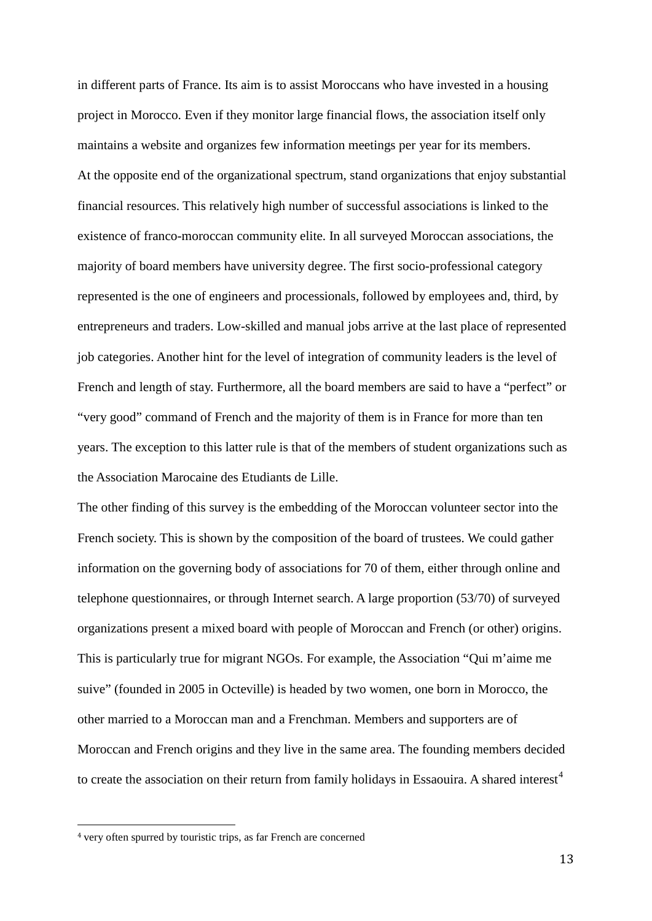in different parts of France. Its aim is to assist Moroccans who have invested in a housing project in Morocco. Even if they monitor large financial flows, the association itself only maintains a website and organizes few information meetings per year for its members. At the opposite end of the organizational spectrum, stand organizations that enjoy substantial financial resources. This relatively high number of successful associations is linked to the existence of franco-moroccan community elite. In all surveyed Moroccan associations, the majority of board members have university degree. The first socio-professional category represented is the one of engineers and processionals, followed by employees and, third, by entrepreneurs and traders. Low-skilled and manual jobs arrive at the last place of represented job categories. Another hint for the level of integration of community leaders is the level of French and length of stay. Furthermore, all the board members are said to have a "perfect" or "very good" command of French and the majority of them is in France for more than ten years. The exception to this latter rule is that of the members of student organizations such as the Association Marocaine des Etudiants de Lille.

The other finding of this survey is the embedding of the Moroccan volunteer sector into the French society. This is shown by the composition of the board of trustees. We could gather information on the governing body of associations for 70 of them, either through online and telephone questionnaires, or through Internet search. A large proportion (53/70) of surveyed organizations present a mixed board with people of Moroccan and French (or other) origins. This is particularly true for migrant NGOs. For example, the Association "Qui m'aime me suive" (founded in 2005 in Octeville) is headed by two women, one born in Morocco, the other married to a Moroccan man and a Frenchman. Members and supporters are of Moroccan and French origins and they live in the same area. The founding members decided to create the association on their return from family holidays in Essaouira. A shared interest<sup>[4](#page-12-0)</sup>

<span id="page-12-0"></span> <sup>4</sup> very often spurred by touristic trips, as far French are concerned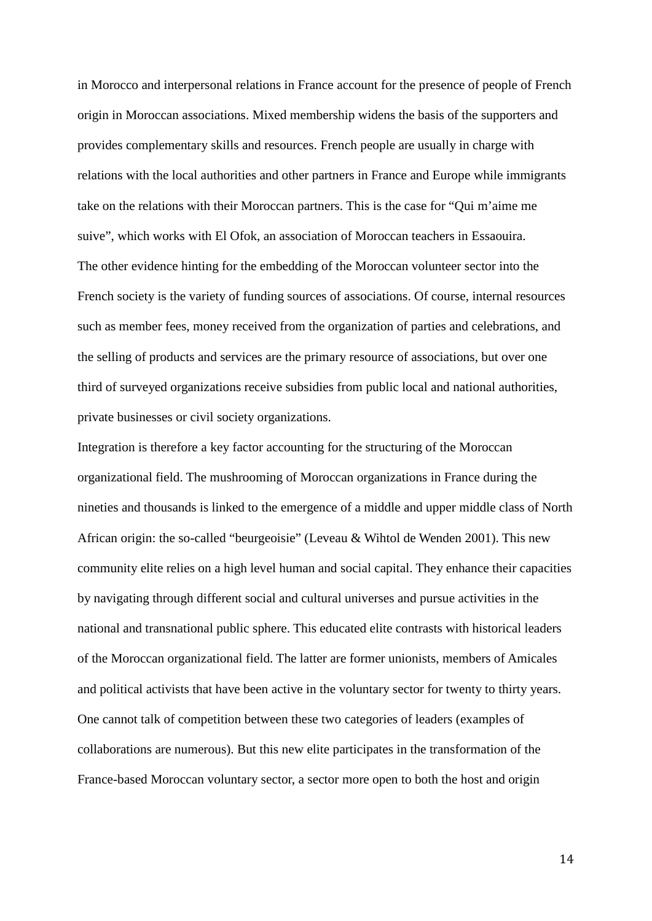in Morocco and interpersonal relations in France account for the presence of people of French origin in Moroccan associations. Mixed membership widens the basis of the supporters and provides complementary skills and resources. French people are usually in charge with relations with the local authorities and other partners in France and Europe while immigrants take on the relations with their Moroccan partners. This is the case for "Qui m'aime me suive", which works with El Ofok, an association of Moroccan teachers in Essaouira. The other evidence hinting for the embedding of the Moroccan volunteer sector into the French society is the variety of funding sources of associations. Of course, internal resources such as member fees, money received from the organization of parties and celebrations, and the selling of products and services are the primary resource of associations, but over one third of surveyed organizations receive subsidies from public local and national authorities, private businesses or civil society organizations.

Integration is therefore a key factor accounting for the structuring of the Moroccan organizational field. The mushrooming of Moroccan organizations in France during the nineties and thousands is linked to the emergence of a middle and upper middle class of North African origin: the so-called "beurgeoisie" (Leveau & Wihtol de Wenden 2001). This new community elite relies on a high level human and social capital. They enhance their capacities by navigating through different social and cultural universes and pursue activities in the national and transnational public sphere. This educated elite contrasts with historical leaders of the Moroccan organizational field. The latter are former unionists, members of Amicales and political activists that have been active in the voluntary sector for twenty to thirty years. One cannot talk of competition between these two categories of leaders (examples of collaborations are numerous). But this new elite participates in the transformation of the France-based Moroccan voluntary sector, a sector more open to both the host and origin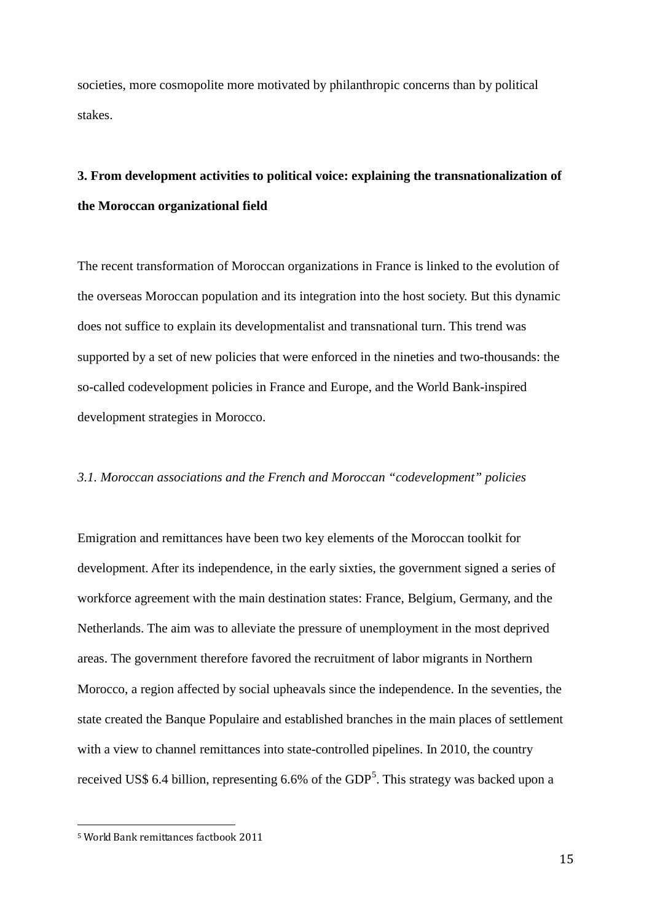societies, more cosmopolite more motivated by philanthropic concerns than by political stakes.

# **3. From development activities to political voice: explaining the transnationalization of the Moroccan organizational field**

The recent transformation of Moroccan organizations in France is linked to the evolution of the overseas Moroccan population and its integration into the host society. But this dynamic does not suffice to explain its developmentalist and transnational turn. This trend was supported by a set of new policies that were enforced in the nineties and two-thousands: the so-called codevelopment policies in France and Europe, and the World Bank-inspired development strategies in Morocco.

#### *3.1. Moroccan associations and the French and Moroccan "codevelopment" policies*

Emigration and remittances have been two key elements of the Moroccan toolkit for development. After its independence, in the early sixties, the government signed a series of workforce agreement with the main destination states: France, Belgium, Germany, and the Netherlands. The aim was to alleviate the pressure of unemployment in the most deprived areas. The government therefore favored the recruitment of labor migrants in Northern Morocco, a region affected by social upheavals since the independence. In the seventies, the state created the Banque Populaire and established branches in the main places of settlement with a view to channel remittances into state-controlled pipelines. In 2010, the country received US\$ 6.4 billion, representing 6.6% of the  $GDP<sup>5</sup>$  $GDP<sup>5</sup>$  $GDP<sup>5</sup>$ . This strategy was backed upon a

<span id="page-14-0"></span> <sup>5</sup> World Bank remittances factbook 2011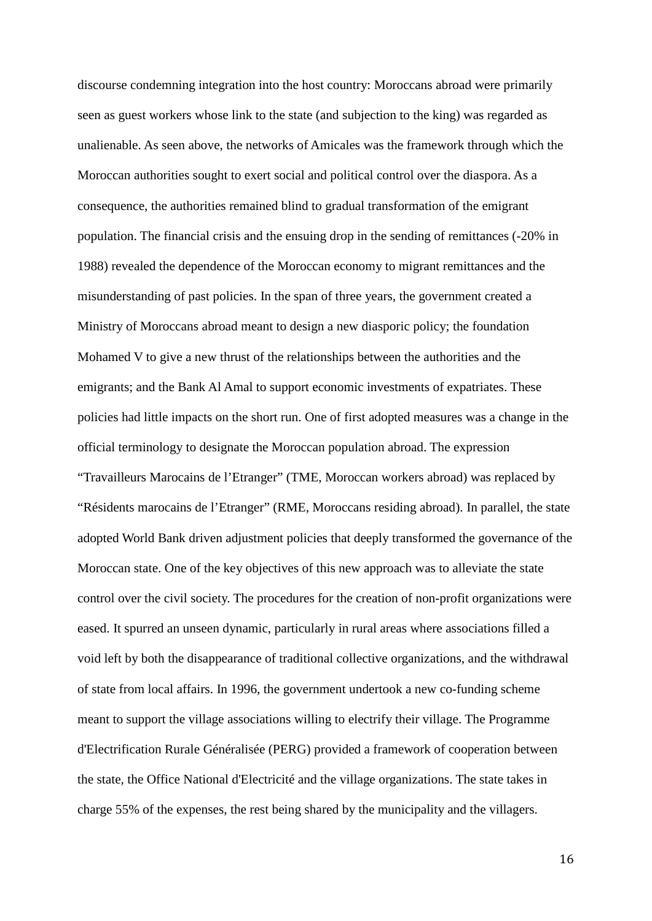discourse condemning integration into the host country: Moroccans abroad were primarily seen as guest workers whose link to the state (and subjection to the king) was regarded as unalienable. As seen above, the networks of Amicales was the framework through which the Moroccan authorities sought to exert social and political control over the diaspora. As a consequence, the authorities remained blind to gradual transformation of the emigrant population. The financial crisis and the ensuing drop in the sending of remittances (-20% in 1988) revealed the dependence of the Moroccan economy to migrant remittances and the misunderstanding of past policies. In the span of three years, the government created a Ministry of Moroccans abroad meant to design a new diasporic policy; the foundation Mohamed V to give a new thrust of the relationships between the authorities and the emigrants; and the Bank Al Amal to support economic investments of expatriates. These policies had little impacts on the short run. One of first adopted measures was a change in the official terminology to designate the Moroccan population abroad. The expression "Travailleurs Marocains de l'Etranger" (TME, Moroccan workers abroad) was replaced by "Résidents marocains de l'Etranger" (RME, Moroccans residing abroad). In parallel, the state adopted World Bank driven adjustment policies that deeply transformed the governance of the Moroccan state. One of the key objectives of this new approach was to alleviate the state control over the civil society. The procedures for the creation of non-profit organizations were eased. It spurred an unseen dynamic, particularly in rural areas where associations filled a void left by both the disappearance of traditional collective organizations, and the withdrawal of state from local affairs. In 1996, the government undertook a new co-funding scheme meant to support the village associations willing to electrify their village. The Programme d'Electrification Rurale Généralisée (PERG) provided a framework of cooperation between the state, the Office National d'Electricité and the village organizations. The state takes in charge 55% of the expenses, the rest being shared by the municipality and the villagers.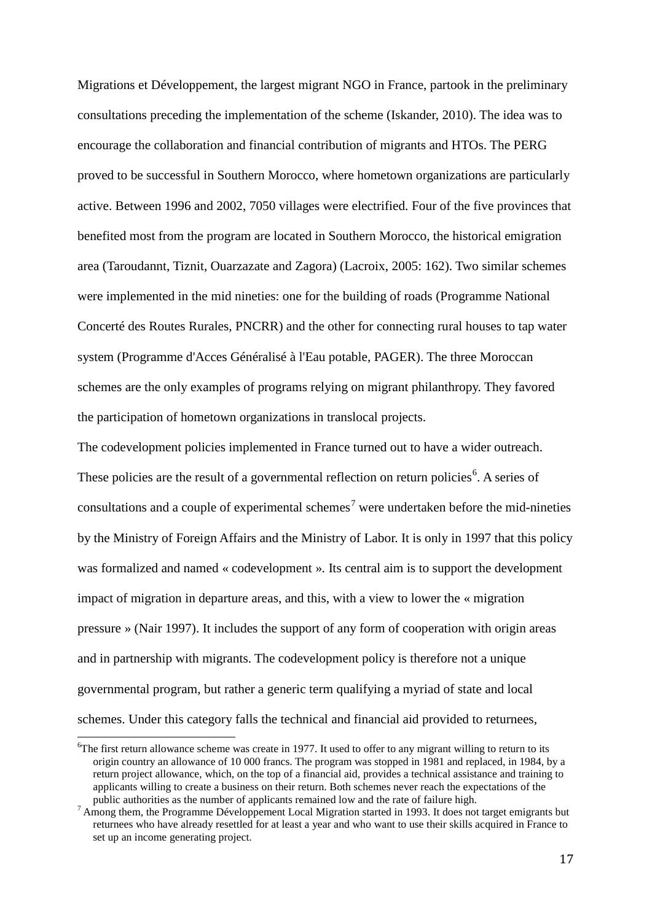Migrations et Développement, the largest migrant NGO in France, partook in the preliminary consultations preceding the implementation of the scheme (Iskander, 2010). The idea was to encourage the collaboration and financial contribution of migrants and HTOs. The PERG proved to be successful in Southern Morocco, where hometown organizations are particularly active. Between 1996 and 2002, 7050 villages were electrified. Four of the five provinces that benefited most from the program are located in Southern Morocco, the historical emigration area (Taroudannt, Tiznit, Ouarzazate and Zagora) (Lacroix, 2005: 162). Two similar schemes were implemented in the mid nineties: one for the building of roads (Programme National Concerté des Routes Rurales, PNCRR) and the other for connecting rural houses to tap water system (Programme d'Acces Généralisé à l'Eau potable, PAGER). The three Moroccan schemes are the only examples of programs relying on migrant philanthropy. They favored the participation of hometown organizations in translocal projects.

The codevelopment policies implemented in France turned out to have a wider outreach. These policies are the result of a governmental reflection on return policies<sup>[6](#page-16-0)</sup>. A series of consultations and a couple of experimental schemes<sup>[7](#page-16-1)</sup> were undertaken before the mid-nineties by the Ministry of Foreign Affairs and the Ministry of Labor. It is only in 1997 that this policy was formalized and named « codevelopment ». Its central aim is to support the development impact of migration in departure areas, and this, with a view to lower the « migration pressure » (Nair 1997). It includes the support of any form of cooperation with origin areas and in partnership with migrants. The codevelopment policy is therefore not a unique governmental program, but rather a generic term qualifying a myriad of state and local schemes. Under this category falls the technical and financial aid provided to returnees,

<span id="page-16-0"></span>6 The first return allowance scheme was create in 1977. It used to offer to any migrant willing to return to its origin country an allowance of 10 000 francs. The program was stopped in 1981 and replaced, in 1984, by a return project allowance, which, on the top of a financial aid, provides a technical assistance and training to applicants willing to create a business on their return. Both schemes never reach the expectations of the public authorities as the number of applicants remained low and the rate of failure high.

<span id="page-16-1"></span> $<sup>7</sup>$  Among them, the Programme Développement Local Migration started in 1993. It does not target emigrants but</sup> returnees who have already resettled for at least a year and who want to use their skills acquired in France to set up an income generating project.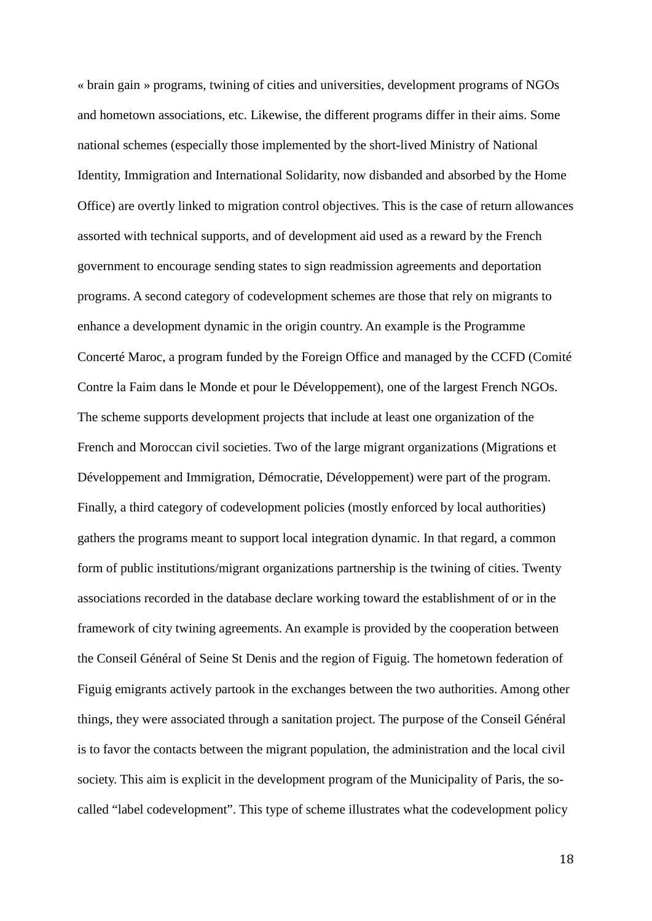« brain gain » programs, twining of cities and universities, development programs of NGOs and hometown associations, etc. Likewise, the different programs differ in their aims. Some national schemes (especially those implemented by the short-lived Ministry of National Identity, Immigration and International Solidarity, now disbanded and absorbed by the Home Office) are overtly linked to migration control objectives. This is the case of return allowances assorted with technical supports, and of development aid used as a reward by the French government to encourage sending states to sign readmission agreements and deportation programs. A second category of codevelopment schemes are those that rely on migrants to enhance a development dynamic in the origin country. An example is the Programme Concerté Maroc, a program funded by the Foreign Office and managed by the CCFD (Comité Contre la Faim dans le Monde et pour le Développement), one of the largest French NGOs. The scheme supports development projects that include at least one organization of the French and Moroccan civil societies. Two of the large migrant organizations (Migrations et Développement and Immigration, Démocratie, Développement) were part of the program. Finally, a third category of codevelopment policies (mostly enforced by local authorities) gathers the programs meant to support local integration dynamic. In that regard, a common form of public institutions/migrant organizations partnership is the twining of cities. Twenty associations recorded in the database declare working toward the establishment of or in the framework of city twining agreements. An example is provided by the cooperation between the Conseil Général of Seine St Denis and the region of Figuig. The hometown federation of Figuig emigrants actively partook in the exchanges between the two authorities. Among other things, they were associated through a sanitation project. The purpose of the Conseil Général is to favor the contacts between the migrant population, the administration and the local civil society. This aim is explicit in the development program of the Municipality of Paris, the socalled "label codevelopment". This type of scheme illustrates what the codevelopment policy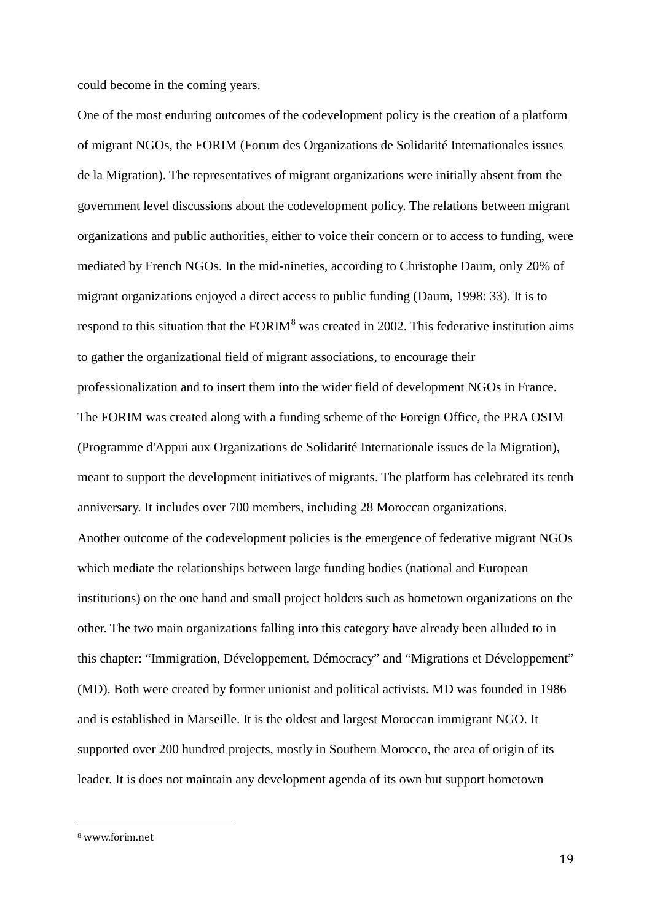could become in the coming years.

One of the most enduring outcomes of the codevelopment policy is the creation of a platform of migrant NGOs, the FORIM (Forum des Organizations de Solidarité Internationales issues de la Migration). The representatives of migrant organizations were initially absent from the government level discussions about the codevelopment policy. The relations between migrant organizations and public authorities, either to voice their concern or to access to funding, were mediated by French NGOs. In the mid-nineties, according to Christophe Daum, only 20% of migrant organizations enjoyed a direct access to public funding (Daum, 1998: 33). It is to respond to this situation that the  $FORM^8$  $FORM^8$  was created in 2002. This federative institution aims to gather the organizational field of migrant associations, to encourage their professionalization and to insert them into the wider field of development NGOs in France. The FORIM was created along with a funding scheme of the Foreign Office, the PRA OSIM (Programme d'Appui aux Organizations de Solidarité Internationale issues de la Migration), meant to support the development initiatives of migrants. The platform has celebrated its tenth anniversary. It includes over 700 members, including 28 Moroccan organizations. Another outcome of the codevelopment policies is the emergence of federative migrant NGOs which mediate the relationships between large funding bodies (national and European institutions) on the one hand and small project holders such as hometown organizations on the other. The two main organizations falling into this category have already been alluded to in this chapter: "Immigration, Développement, Démocracy" and "Migrations et Développement" (MD). Both were created by former unionist and political activists. MD was founded in 1986 and is established in Marseille. It is the oldest and largest Moroccan immigrant NGO. It supported over 200 hundred projects, mostly in Southern Morocco, the area of origin of its leader. It is does not maintain any development agenda of its own but support hometown

<span id="page-18-0"></span> <sup>8</sup> www.forim.net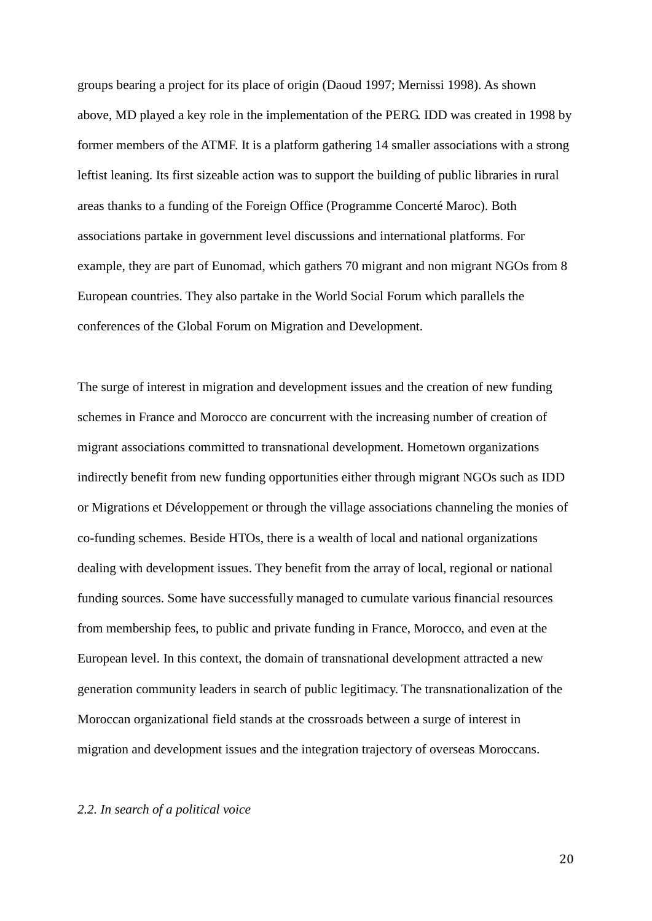groups bearing a project for its place of origin (Daoud 1997; Mernissi 1998). As shown above, MD played a key role in the implementation of the PERG. IDD was created in 1998 by former members of the ATMF. It is a platform gathering 14 smaller associations with a strong leftist leaning. Its first sizeable action was to support the building of public libraries in rural areas thanks to a funding of the Foreign Office (Programme Concerté Maroc). Both associations partake in government level discussions and international platforms. For example, they are part of Eunomad, which gathers 70 migrant and non migrant NGOs from 8 European countries. They also partake in the World Social Forum which parallels the conferences of the Global Forum on Migration and Development.

The surge of interest in migration and development issues and the creation of new funding schemes in France and Morocco are concurrent with the increasing number of creation of migrant associations committed to transnational development. Hometown organizations indirectly benefit from new funding opportunities either through migrant NGOs such as IDD or Migrations et Développement or through the village associations channeling the monies of co-funding schemes. Beside HTOs, there is a wealth of local and national organizations dealing with development issues. They benefit from the array of local, regional or national funding sources. Some have successfully managed to cumulate various financial resources from membership fees, to public and private funding in France, Morocco, and even at the European level. In this context, the domain of transnational development attracted a new generation community leaders in search of public legitimacy. The transnationalization of the Moroccan organizational field stands at the crossroads between a surge of interest in migration and development issues and the integration trajectory of overseas Moroccans.

#### *2.2. In search of a political voice*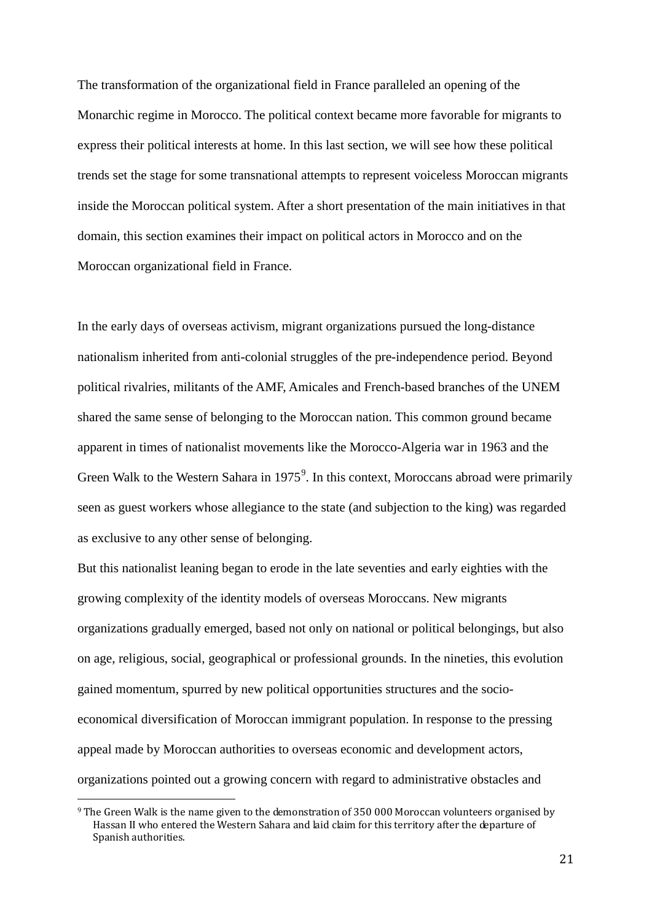The transformation of the organizational field in France paralleled an opening of the Monarchic regime in Morocco. The political context became more favorable for migrants to express their political interests at home. In this last section, we will see how these political trends set the stage for some transnational attempts to represent voiceless Moroccan migrants inside the Moroccan political system. After a short presentation of the main initiatives in that domain, this section examines their impact on political actors in Morocco and on the Moroccan organizational field in France.

In the early days of overseas activism, migrant organizations pursued the long-distance nationalism inherited from anti-colonial struggles of the pre-independence period. Beyond political rivalries, militants of the AMF, Amicales and French-based branches of the UNEM shared the same sense of belonging to the Moroccan nation. This common ground became apparent in times of nationalist movements like the Morocco-Algeria war in 1963 and the Green Walk to the Western Sahara in 1[9](#page-20-0)75 $<sup>9</sup>$ . In this context, Moroccans abroad were primarily</sup> seen as guest workers whose allegiance to the state (and subjection to the king) was regarded as exclusive to any other sense of belonging.

But this nationalist leaning began to erode in the late seventies and early eighties with the growing complexity of the identity models of overseas Moroccans. New migrants organizations gradually emerged, based not only on national or political belongings, but also on age, religious, social, geographical or professional grounds. In the nineties, this evolution gained momentum, spurred by new political opportunities structures and the socioeconomical diversification of Moroccan immigrant population. In response to the pressing appeal made by Moroccan authorities to overseas economic and development actors, organizations pointed out a growing concern with regard to administrative obstacles and

<span id="page-20-0"></span><sup>&</sup>lt;sup>9</sup> The Green Walk is the name given to the demonstration of 350 000 Moroccan volunteers organised by Hassan II who entered the Western Sahara and laid claim for this territory after the departure of Spanish authorities.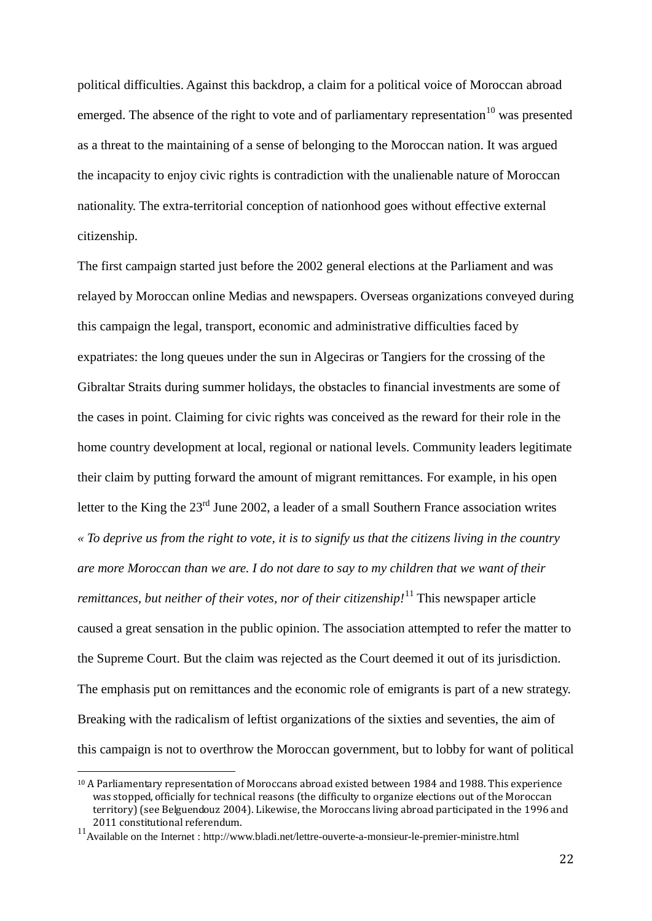political difficulties. Against this backdrop, a claim for a political voice of Moroccan abroad emerged. The absence of the right to vote and of parliamentary representation<sup>[10](#page-21-0)</sup> was presented as a threat to the maintaining of a sense of belonging to the Moroccan nation. It was argued the incapacity to enjoy civic rights is contradiction with the unalienable nature of Moroccan nationality. The extra-territorial conception of nationhood goes without effective external citizenship.

The first campaign started just before the 2002 general elections at the Parliament and was relayed by Moroccan online Medias and newspapers. Overseas organizations conveyed during this campaign the legal, transport, economic and administrative difficulties faced by expatriates: the long queues under the sun in Algeciras or Tangiers for the crossing of the Gibraltar Straits during summer holidays, the obstacles to financial investments are some of the cases in point. Claiming for civic rights was conceived as the reward for their role in the home country development at local, regional or national levels. Community leaders legitimate their claim by putting forward the amount of migrant remittances. For example, in his open letter to the King the 23<sup>rd</sup> June 2002, a leader of a small Southern France association writes *« To deprive us from the right to vote, it is to signify us that the citizens living in the country are more Moroccan than we are. I do not dare to say to my children that we want of their remittances, but neither of their votes, nor of their citizenship!*<sup>[11](#page-21-1)</sup> This newspaper article caused a great sensation in the public opinion. The association attempted to refer the matter to the Supreme Court. But the claim was rejected as the Court deemed it out of its jurisdiction. The emphasis put on remittances and the economic role of emigrants is part of a new strategy. Breaking with the radicalism of leftist organizations of the sixties and seventies, the aim of this campaign is not to overthrow the Moroccan government, but to lobby for want of political

<span id="page-21-0"></span> <sup>10</sup> A Parliamentary representation of Moroccans abroad existed between 1984 and 1988. This experience was stopped, officially for technical reasons (the difficulty to organize elections out of the Moroccan territory) (see Belguendouz 2004). Likewise, the Moroccans living abroad participated in the 1996 and

<span id="page-21-1"></span><sup>&</sup>lt;sup>11</sup> Available on the Internet : http://www.bladi.net/lettre-ouverte-a-monsieur-le-premier-ministre.html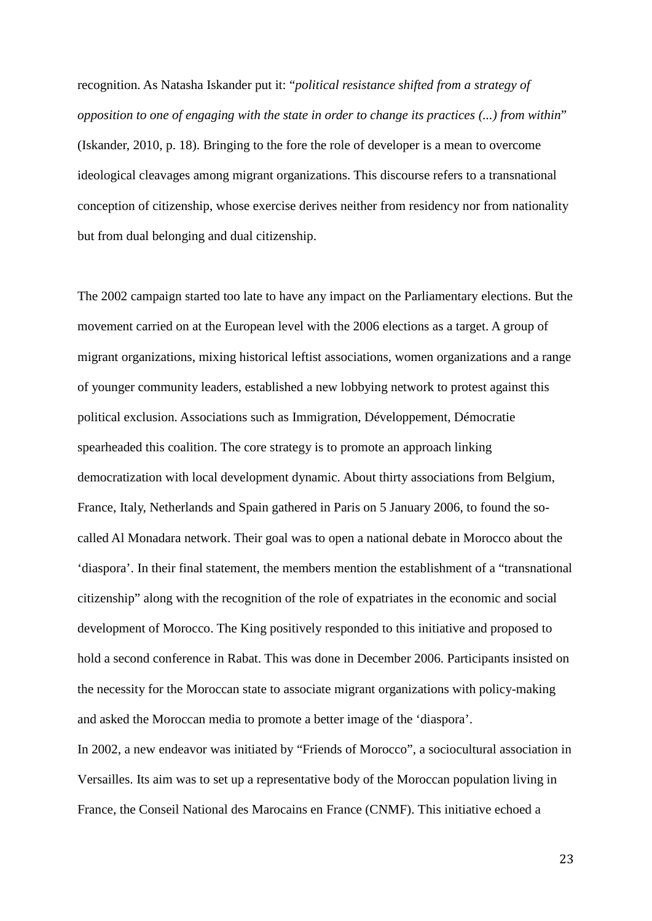recognition. As Natasha Iskander put it: "*political resistance shifted from a strategy of opposition to one of engaging with the state in order to change its practices (...) from within*" (Iskander, 2010, p. 18). Bringing to the fore the role of developer is a mean to overcome ideological cleavages among migrant organizations. This discourse refers to a transnational conception of citizenship, whose exercise derives neither from residency nor from nationality but from dual belonging and dual citizenship.

The 2002 campaign started too late to have any impact on the Parliamentary elections. But the movement carried on at the European level with the 2006 elections as a target. A group of migrant organizations, mixing historical leftist associations, women organizations and a range of younger community leaders, established a new lobbying network to protest against this political exclusion. Associations such as Immigration, Développement, Démocratie spearheaded this coalition. The core strategy is to promote an approach linking democratization with local development dynamic. About thirty associations from Belgium, France, Italy, Netherlands and Spain gathered in Paris on 5 January 2006, to found the socalled Al Monadara network. Their goal was to open a national debate in Morocco about the 'diaspora'. In their final statement, the members mention the establishment of a "transnational citizenship" along with the recognition of the role of expatriates in the economic and social development of Morocco. The King positively responded to this initiative and proposed to hold a second conference in Rabat. This was done in December 2006. Participants insisted on the necessity for the Moroccan state to associate migrant organizations with policy-making and asked the Moroccan media to promote a better image of the 'diaspora'.

In 2002, a new endeavor was initiated by "Friends of Morocco", a sociocultural association in Versailles. Its aim was to set up a representative body of the Moroccan population living in France, the Conseil National des Marocains en France (CNMF). This initiative echoed a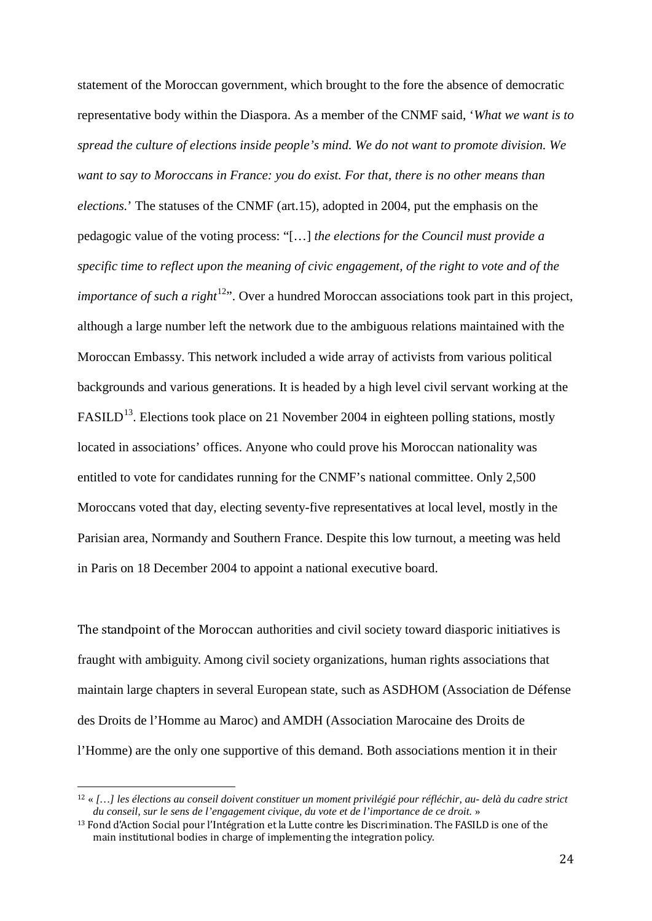statement of the Moroccan government, which brought to the fore the absence of democratic representative body within the Diaspora. As a member of the CNMF said, '*What we want is to spread the culture of elections inside people's mind. We do not want to promote division. We want to say to Moroccans in France: you do exist. For that, there is no other means than elections.*' The statuses of the CNMF (art.15), adopted in 2004, put the emphasis on the pedagogic value of the voting process: "[…] *the elections for the Council must provide a specific time to reflect upon the meaning of civic engagement, of the right to vote and of the importance of such a right*<sup>12</sup>". Over a hundred Moroccan associations took part in this project, although a large number left the network due to the ambiguous relations maintained with the Moroccan Embassy. This network included a wide array of activists from various political backgrounds and various generations. It is headed by a high level civil servant working at the FASILD<sup>[13](#page-23-1)</sup>. Elections took place on 21 November 2004 in eighteen polling stations, mostly located in associations' offices. Anyone who could prove his Moroccan nationality was entitled to vote for candidates running for the CNMF's national committee. Only 2,500 Moroccans voted that day, electing seventy-five representatives at local level, mostly in the Parisian area, Normandy and Southern France. Despite this low turnout, a meeting was held in Paris on 18 December 2004 to appoint a national executive board.

The standpoint of the Moroccan authorities and civil society toward diasporic initiatives is fraught with ambiguity. Among civil society organizations, human rights associations that maintain large chapters in several European state, such as ASDHOM (Association de Défense des Droits de l'Homme au Maroc) and AMDH (Association Marocaine des Droits de l'Homme) are the only one supportive of this demand. Both associations mention it in their

<span id="page-23-0"></span> <sup>12</sup> « *[…] les élections au conseil doivent constituer un moment privilégié pour réfléchir, au- delà du cadre strict du conseil, sur le sens de l'engagement civique, du vote et de l'importance de ce droit.* »

<span id="page-23-1"></span><sup>&</sup>lt;sup>13</sup> Fond d'Action Social pour l'Intégration et la Lutte contre les Discrimination. The FASILD is one of the main institutional bodies in charge of implementing the integration policy.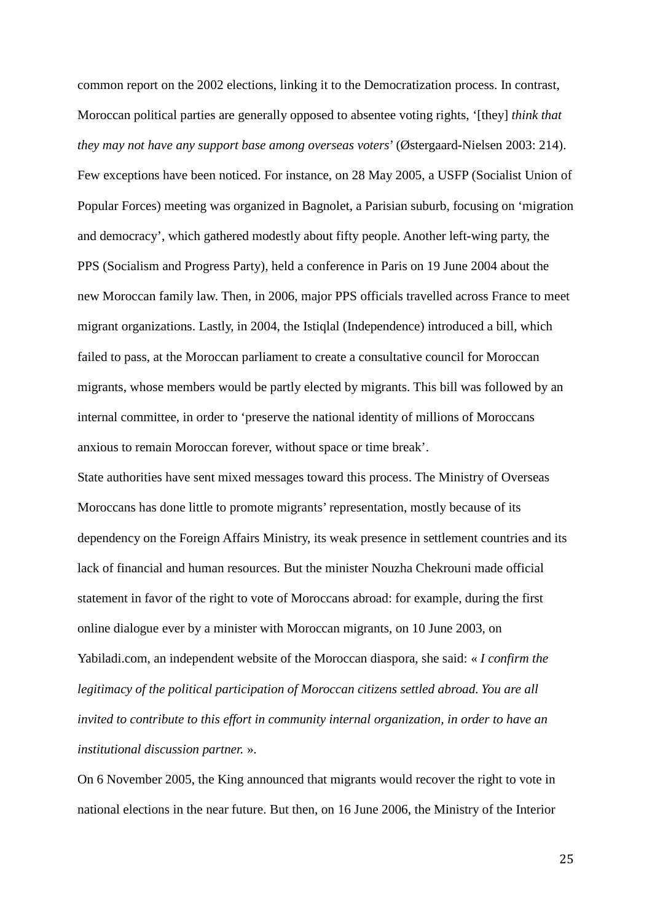common report on the 2002 elections, linking it to the Democratization process. In contrast, Moroccan political parties are generally opposed to absentee voting rights, '[they] *think that they may not have any support base among overseas voters*' (Østergaard-Nielsen 2003: 214). Few exceptions have been noticed. For instance, on 28 May 2005, a USFP (Socialist Union of Popular Forces) meeting was organized in Bagnolet, a Parisian suburb, focusing on 'migration and democracy', which gathered modestly about fifty people. Another left-wing party, the PPS (Socialism and Progress Party), held a conference in Paris on 19 June 2004 about the new Moroccan family law. Then, in 2006, major PPS officials travelled across France to meet migrant organizations. Lastly, in 2004, the Istiqlal (Independence) introduced a bill, which failed to pass, at the Moroccan parliament to create a consultative council for Moroccan migrants, whose members would be partly elected by migrants. This bill was followed by an internal committee, in order to 'preserve the national identity of millions of Moroccans anxious to remain Moroccan forever, without space or time break'.

State authorities have sent mixed messages toward this process. The Ministry of Overseas Moroccans has done little to promote migrants' representation, mostly because of its dependency on the Foreign Affairs Ministry, its weak presence in settlement countries and its lack of financial and human resources. But the minister Nouzha Chekrouni made official statement in favor of the right to vote of Moroccans abroad: for example, during the first online dialogue ever by a minister with Moroccan migrants, on 10 June 2003, on Yabiladi.com, an independent website of the Moroccan diaspora, she said: « *I confirm the legitimacy of the political participation of Moroccan citizens settled abroad. You are all invited to contribute to this effort in community internal organization, in order to have an institutional discussion partner.* ».

On 6 November 2005, the King announced that migrants would recover the right to vote in national elections in the near future. But then, on 16 June 2006, the Ministry of the Interior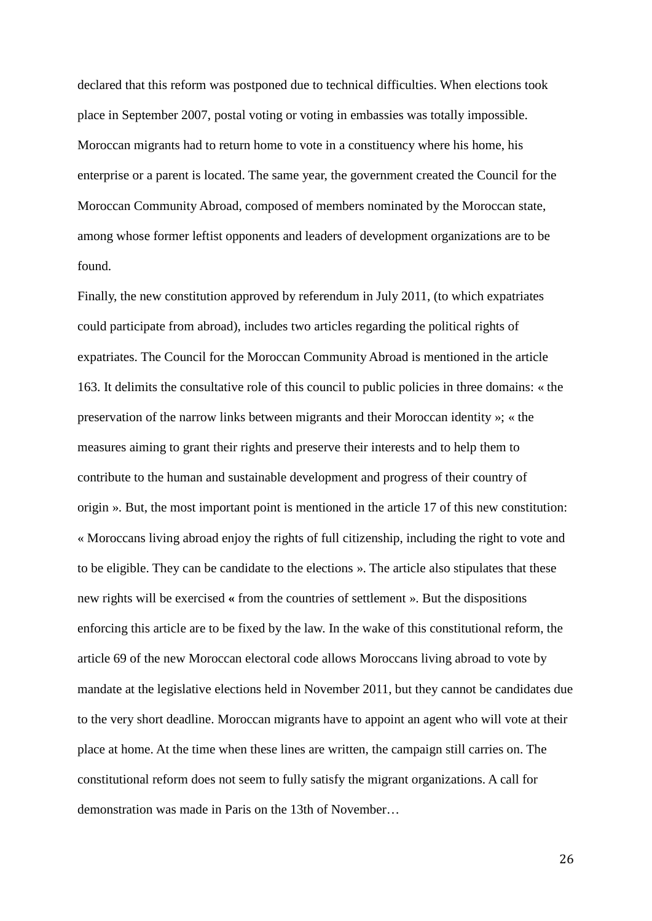declared that this reform was postponed due to technical difficulties. When elections took place in September 2007, postal voting or voting in embassies was totally impossible. Moroccan migrants had to return home to vote in a constituency where his home, his enterprise or a parent is located. The same year, the government created the Council for the Moroccan Community Abroad, composed of members nominated by the Moroccan state, among whose former leftist opponents and leaders of development organizations are to be found.

Finally, the new constitution approved by referendum in July 2011, (to which expatriates could participate from abroad), includes two articles regarding the political rights of expatriates. The Council for the Moroccan Community Abroad is mentioned in the article 163. It delimits the consultative role of this council to public policies in three domains: « the preservation of the narrow links between migrants and their Moroccan identity »; « the measures aiming to grant their rights and preserve their interests and to help them to contribute to the human and sustainable development and progress of their country of origin ». But, the most important point is mentioned in the article 17 of this new constitution: « Moroccans living abroad enjoy the rights of full citizenship, including the right to vote and to be eligible. They can be candidate to the elections ». The article also stipulates that these new rights will be exercised **«** from the countries of settlement ». But the dispositions enforcing this article are to be fixed by the law. In the wake of this constitutional reform, the article 69 of the new Moroccan electoral code allows Moroccans living abroad to vote by mandate at the legislative elections held in November 2011, but they cannot be candidates due to the very short deadline. Moroccan migrants have to appoint an agent who will vote at their place at home. At the time when these lines are written, the campaign still carries on. The constitutional reform does not seem to fully satisfy the migrant organizations. A call for demonstration was made in Paris on the 13th of November…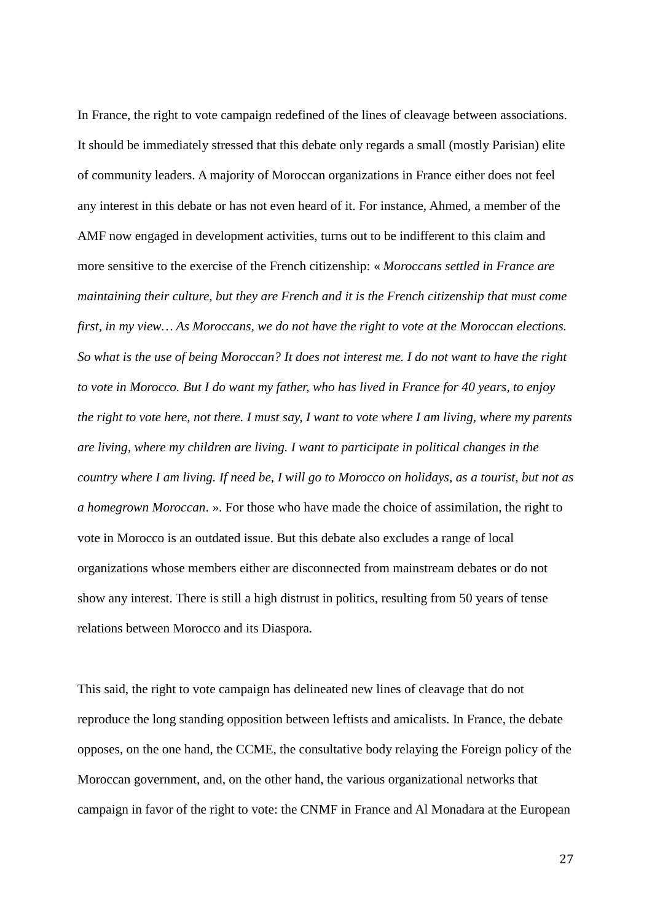In France, the right to vote campaign redefined of the lines of cleavage between associations. It should be immediately stressed that this debate only regards a small (mostly Parisian) elite of community leaders. A majority of Moroccan organizations in France either does not feel any interest in this debate or has not even heard of it. For instance, Ahmed, a member of the AMF now engaged in development activities, turns out to be indifferent to this claim and more sensitive to the exercise of the French citizenship: « *Moroccans settled in France are maintaining their culture, but they are French and it is the French citizenship that must come first, in my view… As Moroccans, we do not have the right to vote at the Moroccan elections. So what is the use of being Moroccan? It does not interest me. I do not want to have the right to vote in Morocco. But I do want my father, who has lived in France for 40 years, to enjoy the right to vote here, not there. I must say, I want to vote where I am living, where my parents are living, where my children are living. I want to participate in political changes in the country where I am living. If need be, I will go to Morocco on holidays, as a tourist, but not as a homegrown Moroccan*. ». For those who have made the choice of assimilation, the right to vote in Morocco is an outdated issue. But this debate also excludes a range of local organizations whose members either are disconnected from mainstream debates or do not show any interest. There is still a high distrust in politics, resulting from 50 years of tense relations between Morocco and its Diaspora.

This said, the right to vote campaign has delineated new lines of cleavage that do not reproduce the long standing opposition between leftists and amicalists. In France, the debate opposes, on the one hand, the CCME, the consultative body relaying the Foreign policy of the Moroccan government, and, on the other hand, the various organizational networks that campaign in favor of the right to vote: the CNMF in France and Al Monadara at the European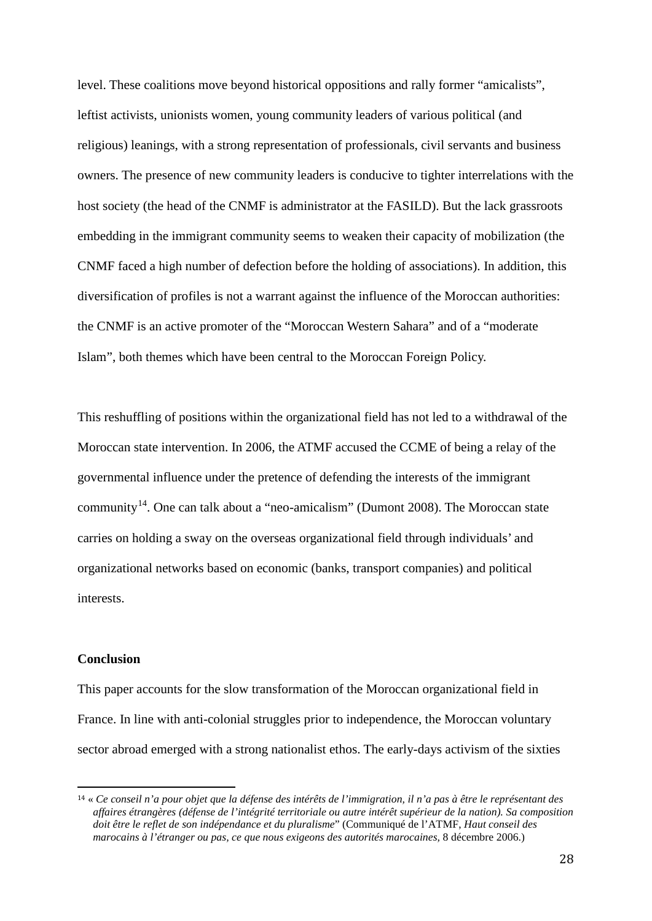level. These coalitions move beyond historical oppositions and rally former "amicalists", leftist activists, unionists women, young community leaders of various political (and religious) leanings, with a strong representation of professionals, civil servants and business owners. The presence of new community leaders is conducive to tighter interrelations with the host society (the head of the CNMF is administrator at the FASILD). But the lack grassroots embedding in the immigrant community seems to weaken their capacity of mobilization (the CNMF faced a high number of defection before the holding of associations). In addition, this diversification of profiles is not a warrant against the influence of the Moroccan authorities: the CNMF is an active promoter of the "Moroccan Western Sahara" and of a "moderate Islam", both themes which have been central to the Moroccan Foreign Policy.

This reshuffling of positions within the organizational field has not led to a withdrawal of the Moroccan state intervention. In 2006, the ATMF accused the CCME of being a relay of the governmental influence under the pretence of defending the interests of the immigrant community<sup>[14](#page-27-0)</sup>. One can talk about a "neo-amicalism" (Dumont 2008). The Moroccan state carries on holding a sway on the overseas organizational field through individuals' and organizational networks based on economic (banks, transport companies) and political interests.

# **Conclusion**

This paper accounts for the slow transformation of the Moroccan organizational field in France. In line with anti-colonial struggles prior to independence, the Moroccan voluntary sector abroad emerged with a strong nationalist ethos. The early-days activism of the sixties

<span id="page-27-0"></span> <sup>14</sup> « *Ce conseil n'a pour objet que la défense des intérêts de l'immigration, il n'a pas à être le représentant des affaires étrangères (défense de l'intégrité territoriale ou autre intérêt supérieur de la nation). Sa composition doit être le reflet de son indépendance et du pluralisme*" (Communiqué de l'ATMF, *Haut conseil des marocains à l'étranger ou pas, ce que nous exigeons des autorités marocaines,* 8 décembre 2006.)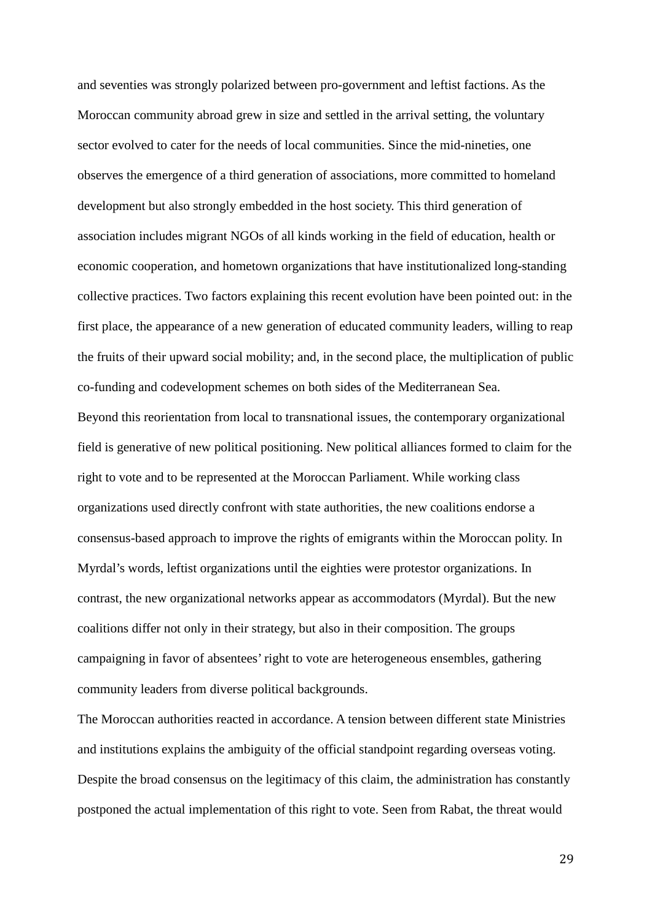and seventies was strongly polarized between pro-government and leftist factions. As the Moroccan community abroad grew in size and settled in the arrival setting, the voluntary sector evolved to cater for the needs of local communities. Since the mid-nineties, one observes the emergence of a third generation of associations, more committed to homeland development but also strongly embedded in the host society. This third generation of association includes migrant NGOs of all kinds working in the field of education, health or economic cooperation, and hometown organizations that have institutionalized long-standing collective practices. Two factors explaining this recent evolution have been pointed out: in the first place, the appearance of a new generation of educated community leaders, willing to reap the fruits of their upward social mobility; and, in the second place, the multiplication of public co-funding and codevelopment schemes on both sides of the Mediterranean Sea.

Beyond this reorientation from local to transnational issues, the contemporary organizational field is generative of new political positioning. New political alliances formed to claim for the right to vote and to be represented at the Moroccan Parliament. While working class organizations used directly confront with state authorities, the new coalitions endorse a consensus-based approach to improve the rights of emigrants within the Moroccan polity. In Myrdal's words, leftist organizations until the eighties were protestor organizations. In contrast, the new organizational networks appear as accommodators (Myrdal). But the new coalitions differ not only in their strategy, but also in their composition. The groups campaigning in favor of absentees' right to vote are heterogeneous ensembles, gathering community leaders from diverse political backgrounds.

The Moroccan authorities reacted in accordance. A tension between different state Ministries and institutions explains the ambiguity of the official standpoint regarding overseas voting. Despite the broad consensus on the legitimacy of this claim, the administration has constantly postponed the actual implementation of this right to vote. Seen from Rabat, the threat would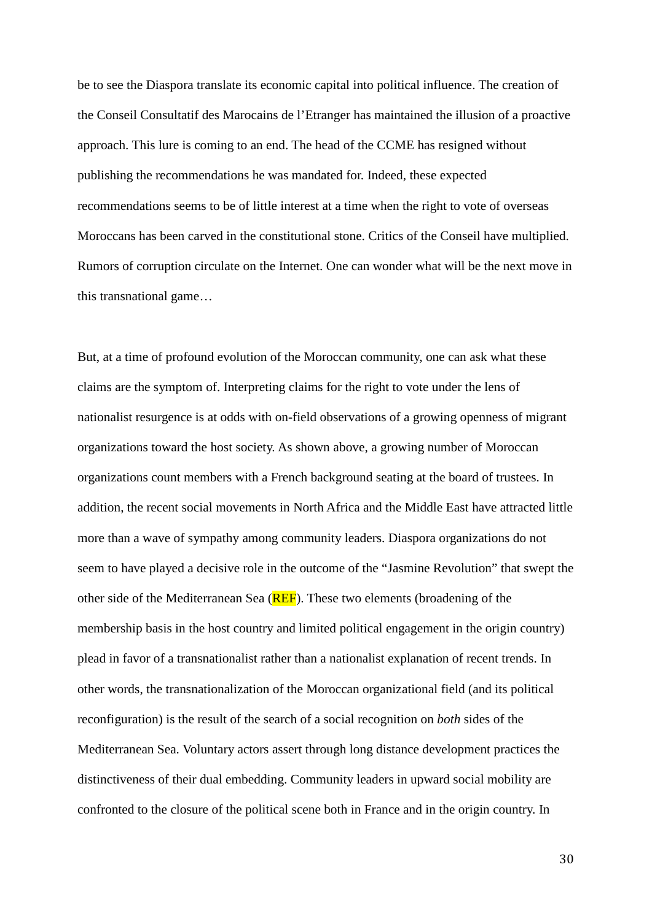be to see the Diaspora translate its economic capital into political influence. The creation of the Conseil Consultatif des Marocains de l'Etranger has maintained the illusion of a proactive approach. This lure is coming to an end. The head of the CCME has resigned without publishing the recommendations he was mandated for. Indeed, these expected recommendations seems to be of little interest at a time when the right to vote of overseas Moroccans has been carved in the constitutional stone. Critics of the Conseil have multiplied. Rumors of corruption circulate on the Internet. One can wonder what will be the next move in this transnational game…

But, at a time of profound evolution of the Moroccan community, one can ask what these claims are the symptom of. Interpreting claims for the right to vote under the lens of nationalist resurgence is at odds with on-field observations of a growing openness of migrant organizations toward the host society. As shown above, a growing number of Moroccan organizations count members with a French background seating at the board of trustees. In addition, the recent social movements in North Africa and the Middle East have attracted little more than a wave of sympathy among community leaders. Diaspora organizations do not seem to have played a decisive role in the outcome of the "Jasmine Revolution" that swept the other side of the Mediterranean Sea (REF). These two elements (broadening of the membership basis in the host country and limited political engagement in the origin country) plead in favor of a transnationalist rather than a nationalist explanation of recent trends. In other words, the transnationalization of the Moroccan organizational field (and its political reconfiguration) is the result of the search of a social recognition on *both* sides of the Mediterranean Sea. Voluntary actors assert through long distance development practices the distinctiveness of their dual embedding. Community leaders in upward social mobility are confronted to the closure of the political scene both in France and in the origin country. In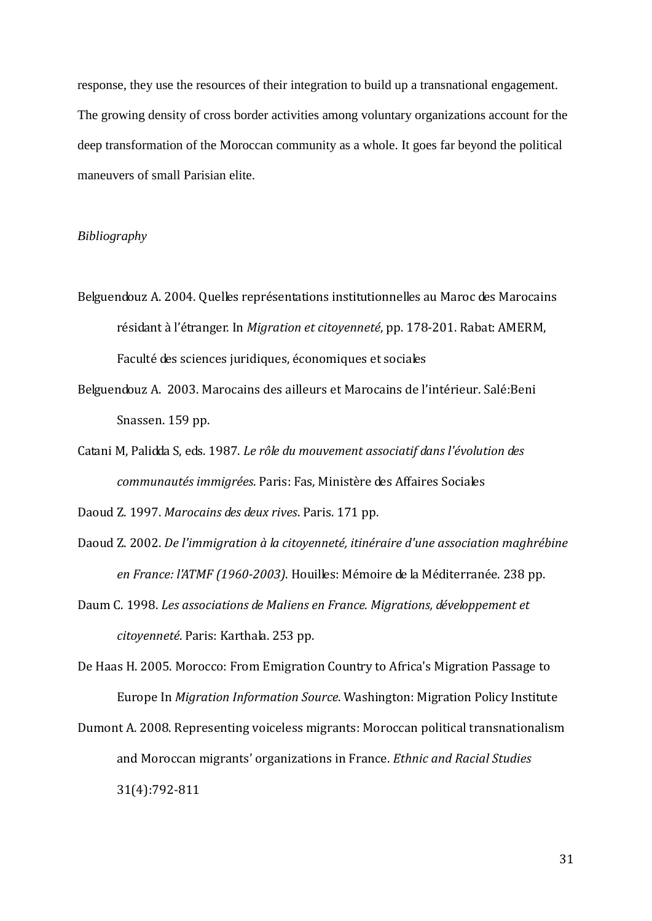response, they use the resources of their integration to build up a transnational engagement. The growing density of cross border activities among voluntary organizations account for the deep transformation of the Moroccan community as a whole. It goes far beyond the political maneuvers of small Parisian elite.

# *Bibliography*

- Belguendouz A. 2004. Quelles représentations institutionnelles au Maroc des Marocains résidant à l'étranger. In *Migration et citoyenneté*, pp. 178-201. Rabat: AMERM, Faculté des sciences juridiques, économiques et sociales
- Belguendouz A. 2003. Marocains des ailleurs et Marocains de l'intérieur. Salé:Beni Snassen. 159 pp.
- Catani M, Palidda S, eds. 1987. *Le rôle du mouvement associatif dans l'évolution des communautés immigrées*. Paris: Fas, Ministère des Affaires Sociales

Daoud Z. 1997. *Marocains des deux rives*. Paris. 171 pp.

- Daoud Z. 2002. *De l'immigration à la citoyenneté, itinéraire d'une association maghrébine en France: l'ATMF (1960-2003)*. Houilles: Mémoire de la Méditerranée. 238 pp.
- Daum C. 1998. *Les associations de Maliens en France. Migrations, développement et citoyenneté*. Paris: Karthala. 253 pp.

De Haas H. 2005. Morocco: From Emigration Country to Africa's Migration Passage to Europe In *Migration Information Source*. Washington: Migration Policy Institute

Dumont A. 2008. Representing voiceless migrants: Moroccan political transnationalism and Moroccan migrants' organizations in France. *Ethnic and Racial Studies*  31(4):792-811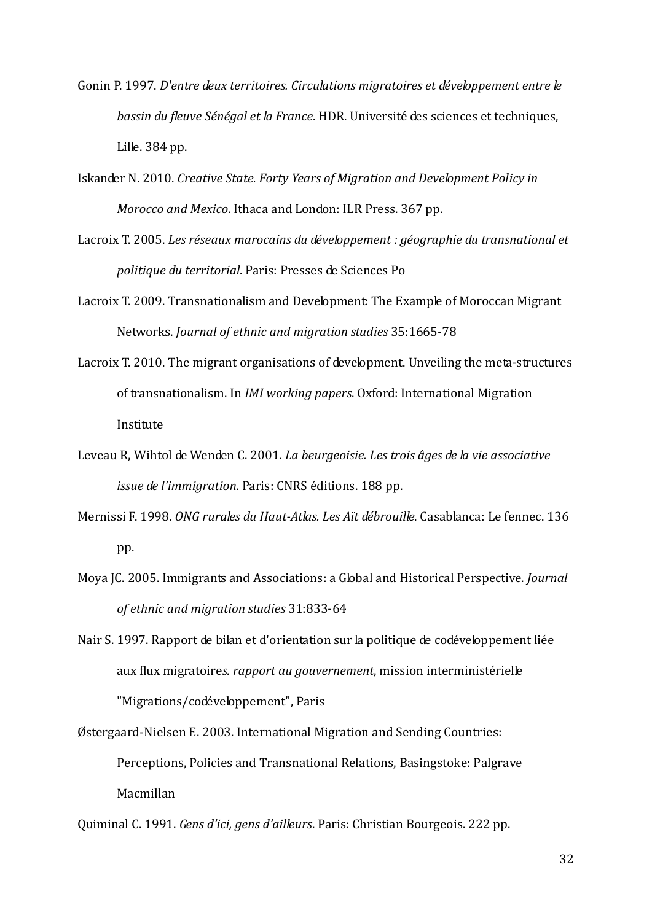- Gonin P. 1997. *D'entre deux territoires. Circulations migratoires et développement entre le bassin du fleuve Sénégal et la France*. HDR. Université des sciences et techniques, Lille. 384 pp.
- Iskander N. 2010. *Creative State. Forty Years of Migration and Development Policy in Morocco and Mexico*. Ithaca and London: ILR Press. 367 pp.
- Lacroix T. 2005. *Les réseaux marocains du développement : géographie du transnational et politique du territorial*. Paris: Presses de Sciences Po
- Lacroix T. 2009. Transnationalism and Development: The Example of Moroccan Migrant Networks. *Journal of ethnic and migration studies* 35:1665-78
- Lacroix T. 2010. The migrant organisations of development. Unveiling the meta-structures of transnationalism. In *IMI working papers*. Oxford: International Migration Institute
- Leveau R, Wihtol de Wenden C. 2001. *La beurgeoisie. Les trois âges de la vie associative issue de l'immigration*. Paris: CNRS éditions. 188 pp.
- Mernissi F. 1998. *ONG rurales du Haut-Atlas. Les Aït débrouille*. Casablanca: Le fennec. 136 pp.
- Moya JC. 2005. Immigrants and Associations: a Global and Historical Perspective. *Journal of ethnic and migration studies* 31:833-64
- Nair S. 1997. Rapport de bilan et d'orientation sur la politique de codéveloppement liée aux flux migratoire*s. rapport au gouvernement*, mission interministérielle "Migrations/codéveloppement", Paris
- Østergaard-Nielsen E. 2003. International Migration and Sending Countries: Perceptions, Policies and Transnational Relations, Basingstoke: Palgrave Macmillan

Quiminal C. 1991. *Gens d'ici, gens d'ailleurs*. Paris: Christian Bourgeois. 222 pp.